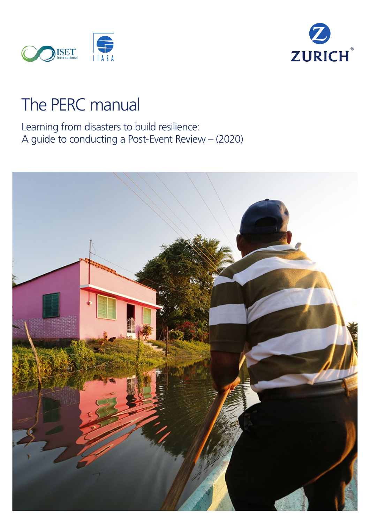



# The PERC manual

Learning from disasters to build resilience: A guide to conducting a Post-Event Review – (2020)

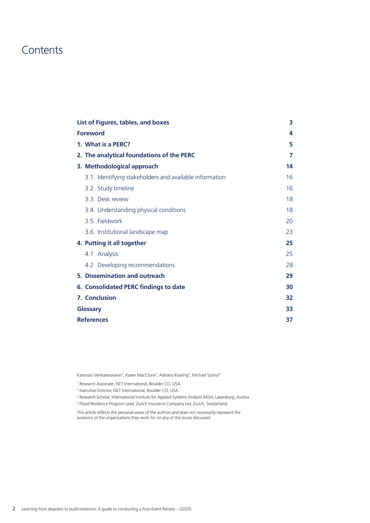### **Contents**

| List of Figures, tables, and boxes                      | 3  |
|---------------------------------------------------------|----|
| <b>Foreword</b>                                         | 4  |
| 1. What is a PERC?                                      | 5  |
| 2. The analytical foundations of the PERC               | 7  |
| 3. Methodological approach                              | 14 |
| 3.1. Identifying stakeholders and available information | 16 |
| 3.2. Study timeline                                     | 16 |
| 3.3. Desk review                                        | 18 |
| 3.4. Understanding physical conditions                  | 18 |
| 3.5. Fieldwork                                          | 20 |
| 3.6. Institutional landscape map                        | 23 |
| 4. Putting it all together                              | 25 |
| Analysis<br>4.1                                         | 25 |
| 4.2 Developing recommendations                          | 28 |
| 5. Dissemination and outreach                           | 29 |
| <b>6. Consolidated PERC findings to date</b>            | 30 |
| 7. Conclusion                                           | 32 |
| Glossary                                                | 33 |
| <b>References</b>                                       | 37 |

Kanmani Venkateswaran<sup>1</sup>, Karen MacClune<sup>2</sup>, Adriana Keating<sup>3</sup>, Michael Szönyi<sup>4</sup>

1 Research Associate, ISET International, Boulder CO, USA

2 Executive Director, ISET International, Boulder CO, USA

This article reflects the personal views of the authors and does not necessarily represent the positions of the organizations they work for on any of the issues discussed.

<sup>&</sup>lt;sup>3</sup> Research Scholar, International Institute for Applied Systems Analysis IIASA, Laxenburg, Austria 4 Flood Resilience Program Lead, Zurich Insurance Company Ltd, Zurich, Switzerland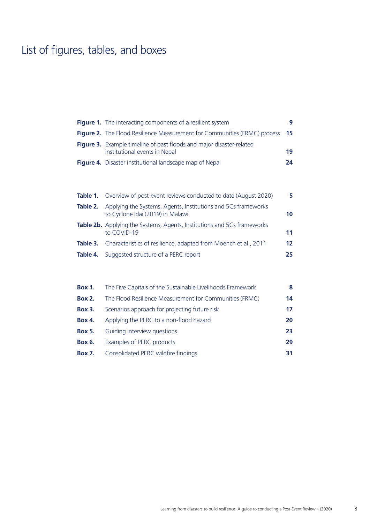## List of figures, tables, and boxes

|          | <b>Figure 1.</b> The interacting components of a resilient system                                            | 9  |
|----------|--------------------------------------------------------------------------------------------------------------|----|
|          | <b>Figure 2.</b> The Flood Resilience Measurement for Communities (FRMC) process                             | 15 |
|          | <b>Figure 3.</b> Example timeline of past floods and major disaster-related<br>institutional events in Nepal | 19 |
|          | Figure 4. Disaster institutional landscape map of Nepal                                                      | 24 |
| Table 1. | Overview of post-event reviews conducted to date (August 2020)                                               | 5. |
| Table 2. | Applying the Systems, Agents, Institutions and 5Cs frameworks<br>to Cyclone Idai (2019) in Malawi            | 10 |
|          | <b>Table 2b.</b> Applying the Systems, Agents, Institutions and 5Cs frameworks<br>to COVID-19                | 11 |
| Table 3. | Characteristics of resilience, adapted from Moench et al., 2011                                              | 12 |

| <b>Box 1.</b> | The Five Capitals of the Sustainable Livelihoods Framework | 8  |
|---------------|------------------------------------------------------------|----|
| <b>Box 2.</b> | The Flood Resilience Measurement for Communities (FRMC)    | 14 |
| <b>Box 3.</b> | Scenarios approach for projecting future risk              | 17 |
| <b>Box 4.</b> | Applying the PERC to a non-flood hazard                    | 20 |
| <b>Box 5.</b> | Guiding interview questions                                | 23 |
| <b>Box 6.</b> | Examples of PERC products                                  | 29 |
| <b>Box 7.</b> | Consolidated PERC wildfire findings                        | 31 |
|               |                                                            |    |

**Table 4.** Suggested structure of a PERC report **25**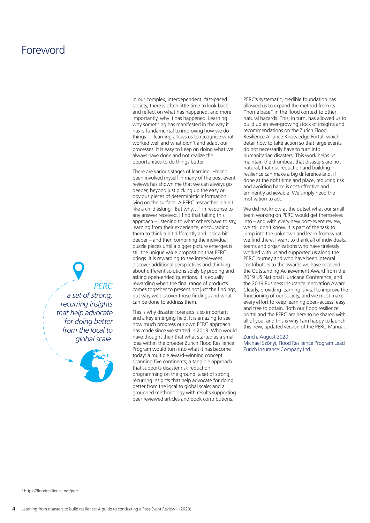### **Foreword**

In our complex, interdependent, fast-paced society, there is often little time to look back and reflect on what has happened, and more importantly, why it has happened. Learning why something has manifested in the way it has is fundamental to improving how we do things — learning allows us to recognize what worked well and what didn't and adapt our processes. It is easy to keep on doing what we always have done and not realize the opportunities to do things better.

There are various stages of learning. Having been involved myself in many of the post-event reviews has shown me that we can always go deeper, beyond just picking up the easy or obvious pieces of deterministic information lying on the surface. A PERC researcher is a bit like a child asking "But why…" in response to any answer received. I find that taking this approach – listening to what others have to say, learning from their experience, encouraging them to think a bit differently and look a bit deeper – and then combining the individual puzzle pieces until a bigger picture emerges is still the unique value proposition that PERC brings. It is rewarding to see interviewees discover additional perspectives and thinking about different solutions solely by probing and asking open-ended questions. It is equally rewarding when the final range of products comes together to present not just the findings, but why we discover those findings and what can be done to address them.

This is why disaster forensics is so important and a key emerging field. It is amazing to see how much progress our own PERC approach has made since we started in 2013. Who would have thought then that what started as a small idea within the broader Zurich Flood Resilience Program would turn into what it has become today: a multiple award-winning concept spanning five continents; a tangible approach that supports disaster risk reduction programming on the ground; a set of strong, recurring insights that help advocate for doing better from the local to global scale; and a grounded methodology with results supporting peer reviewed articles and book contributions.

PERC's systematic, credible foundation has allowed us to expand the method from its "home base" in the flood context to other natural hazards. This, in turn, has allowed us to build up an ever-growing stock of insights and recommendations on the Zurich Flood Resilience Alliance Knowledge Portal<sup>1</sup> which detail how to take action so that large events do not necessarily have to turn into humanitarian disasters. This work helps us maintain the drumbeat that disasters are not natural, that risk reduction and building resilience can make a big difference and, if done at the right time and place, reducing risk and avoiding harm is cost-effective and eminently achievable. We simply need the motivation to act.

We did not know at the outset what our small team working on PERC would get themselves into – and with every new post-event review, we still don't know. It is part of the task to jump into the unknown and learn from what we find there. I want to thank all of individuals, teams and organizations who have tirelessly worked with us and supported us along the PERC journey and who have been integral contributors to the awards we have received – the Outstanding Achievement Award from the 2019 US National Hurricane Conference, and the 2019 Business Insurance Innovation Award. Clearly, providing learning is vital to improve the functioning of our society, and we must make every effort to keep learning open-access, easy and free to obtain. Both our flood resilience portal and the PERC are here to be shared with all of you, and this is why I am happy to launch this new, updated version of the PERC Manual.

#### Zurich, August 2020

Michael Szönyi, Flood Resilience Program Lead Zurich Insurance Company Ltd.

*PERC a set of strong, recurring insights that help advocate for doing better from the local to global scale.*

1 https://floodresilience.net/perc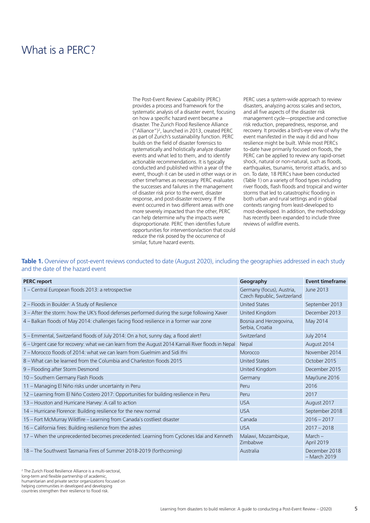### What is a PFRC?

The Post-Event Review Capability (PERC) provides a process and framework for the systematic analysis of a disaster event, focusing on how a specific hazard event became a disaster. The Zurich Flood Resilience Alliance ("Alliance")2 , launched in 2013, created PERC as part of Zurich's sustainability function. PERC builds on the field of disaster forensics to systematically and holistically analyze disaster events and what led to them, and to identify actionable recommendations. It is typically conducted and published within a year of the event, though it can be used in other ways or in other timeframes as necessary. PERC evaluates the successes and failures in the management of disaster risk prior to the event, disaster response, and post-disaster recovery. If the event occurred in two different areas with one more severely impacted than the other, PERC can help determine why the impacts were disproportionate. PERC then identifies future opportunities for intervention/action that could reduce the risk posed by the occurrence of similar, future hazard events.

PERC uses a system-wide approach to review disasters, analyzing across scales and sectors, and all five aspects of the disaster risk management cycle—prospective and corrective risk reduction, preparedness, response, and recovery. It provides a bird's-eye view of why the event manifested in the way it did and how resilience might be built. While most PERCs to-date have primarily focused on floods, the PERC can be applied to review any rapid-onset shock, natural or non-natural, such as floods, earthquakes, tsunamis, terrorist attacks, and so on. To date, 18 PERCs have been conducted (Table 1) on a variety of flood types including river floods, flash floods and tropical and winter storms that led to catastrophic flooding in both urban and rural settings and in global contexts ranging from least-developed to most-developed. In addition, the methodology has recently been expanded to include three reviews of wildfire events.

#### Table 1. Overview of post-event reviews conducted to date (August 2020), including the geographies addressed in each study and the date of the hazard event

| <b>PERC</b> report                                                                                 | Geography                                                | <b>Event timeframe</b>        |
|----------------------------------------------------------------------------------------------------|----------------------------------------------------------|-------------------------------|
| 1 – Central European floods 2013: a retrospective                                                  | Germany (focus), Austria,<br>Czech Republic, Switzerland | June 2013                     |
| 2 - Floods in Boulder: A Study of Resilience                                                       | <b>United States</b>                                     | September 2013                |
| 3 - After the storm: how the UK's flood defenses performed during the surge following Xaver        | United Kingdom                                           | December 2013                 |
| 4 - Balkan floods of May 2014: challenges facing flood resilience in a former war zone             | Bosnia and Herzegovina,<br>Serbia, Croatia               | May 2014                      |
| 5 - Emmental, Switzerland floods of July 2014: On a hot, sunny day, a flood alert!                 | Switzerland                                              | <b>July 2014</b>              |
| 6 – Urgent case for recovery: what we can learn from the August 2014 Karnali River floods in Nepal | Nepal                                                    | August 2014                   |
| 7 – Morocco floods of 2014: what we can learn from Guelmim and Sidi Ifni                           | Morocco                                                  | November 2014                 |
| 8 – What can be learned from the Columbia and Charleston floods 2015                               | <b>United States</b>                                     | October 2015                  |
| 9 - Flooding after Storm Desmond                                                                   | United Kingdom                                           | December 2015                 |
| 10 - Southern Germany Flash Floods                                                                 | Germany                                                  | May/June 2016                 |
| 11 – Managing El Niño risks under uncertainty in Peru                                              | Peru                                                     | 2016                          |
| 12 – Learning from El Niño Costero 2017: Opportunities for building resilience in Peru             | Peru                                                     | 2017                          |
| 13 - Houston and Hurricane Harvey: A call to action                                                | <b>USA</b>                                               | August 2017                   |
| 14 – Hurricane Florence: Building resilience for the new normal                                    | <b>USA</b>                                               | September 2018                |
| 15 - Fort McMurray Wildfire - Learning from Canada's costliest disaster                            | Canada                                                   | $2016 - 2017$                 |
| 16 - California fires: Building resilience from the ashes                                          | <b>USA</b>                                               | $2017 - 2018$                 |
| 17 - When the unprecedented becomes precedented: Learning from Cyclones Idai and Kenneth           | Malawi, Mozambique,<br>Zimbabwe                          | $March -$<br>April 2019       |
| 18 - The Southwest Tasmania Fires of Summer 2018-2019 (forthcoming)                                | Australia                                                | December 2018<br>- March 2019 |

2 The Zurich Flood Resilience Alliance is a multi-sectoral, long-term and flexible partnership of academic, humanitarian and private sector organizations focused on helping communities in developed and developing countries strengthen their resilience to flood risk.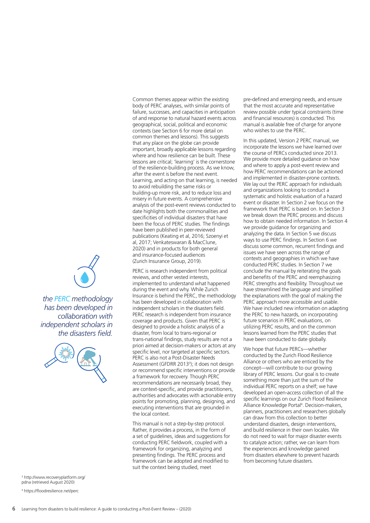body of PERC analyses, with similar points of failure, successes, and capacities in anticipation of and response to natural hazard events across geographical, social, political and economic contexts (see Section 6 for more detail on common themes and lessons). This suggests that any place on the globe can provide important, broadly applicable lessons regarding where and how resilience can be built. These lessons are critical; 'learning' is the cornerstone of the resilience-building process. As we know, after the event is before the next event. Learning, and acting on that learning, is needed to avoid rebuilding the same risks or building-up more risk, and to reduce loss and misery in future events. A comprehensive analysis of the post-event reviews conducted to date highlights both the commonalities and specificities of individual disasters that have been the focus of PERC studies. The findings have been published in peer-reviewed publications (Keating et al, 2016; Szoenyi et al, 2017; Venkateswaran & MacClune, 2020) and in products for both general and insurance-focused audiences (Zurich Insurance Group, 2019).

Common themes appear within the existing

PERC is research independent from political reviews, and other vested interests, implemented to understand what happened during the event and why. While Zurich Insurance is behind the PERC, the methodology has been developed in collaboration with independent scholars in the disasters field. PERC research is independent from insurance coverage and products. Given that PERC is designed to provide a holistic analysis of a disaster, from local to trans-regional or trans-national findings, study results are not a priori aimed at decision-makers or actors at any specific level, nor targeted at specific sectors. PERC is also not a Post-Disaster Needs Assessment (GFDRR 2013<sup>3</sup>); it does not design or recommend specific interventions or provide a framework for recovery. Though PERC recommendations are necessarily broad, they are context-specific, and provide practitioners, authorities and advocates with actionable entry points for promoting, planning, designing, and executing interventions that are grounded in the local context.

This manual is not a step-by-step protocol. Rather, it provides a process, in the form of a set of guidelines, ideas and suggestions for conducting PERC fieldwork, coupled with a framework for organizing, analyzing and presenting findings. The PERC process and framework can be adopted and modified to suit the context being studied, meet

pre-defined and emerging needs, and ensure that the most accurate and representative review possible under typical constraints (time and financial resources) is conducted. This manual is available free of charge for anyone who wishes to use the PERC.

In this updated, Version 2 PERC manual, we incorporate the lessons we have learned over the course of PERCs conducted since 2013. We provide more detailed guidance on how and where to apply a post-event review and how PERC recommendations can be actioned and implemented in disaster-prone contexts. We lay out the PERC approach for individuals and organizations looking to conduct a systematic and holistic evaluation of a hazard event or disaster. In Section 2 we focus on the framework that PERC is based on. In Section 3 we break down the PERC process and discuss how to obtain needed information. In Section 4 we provide guidance for organizing and analyzing the data. In Section 5 we discuss ways to use PERC findings. In Section 6 we discuss some common, recurrent findings and issues we have seen across the range of contexts and geographies in which we have conducted PERC studies. In Section 7 we conclude the manual by reiterating the goals and benefits of the PERC and reemphasizing PERC strengths and flexibility. Throughout we have streamlined the language and simplified the explanations with the goal of making the PERC approach more accessible and usable. We have included new information on adapting the PERC to new hazards, on incorporating future scenarios in PERC evaluations, on utilizing PERC results, and on the common lessons learned from the PERC studies that have been conducted to date globally.

We hope that future PERCs—whether conducted by the Zurich Flood Resilience Alliance or others who are enticed by the concept—will contribute to our growing library of PERC lessons. Our goal is to create something more than just the sum of the individual PERC reports on a shelf; we have developed an open-access collection of all the specific learnings on our Zurich Flood Resilience Alliance Knowledge Portal<sup>4</sup>. Decision-makers, planners, practitioners and researchers globally can draw from this collection to better understand disasters, design interventions, and build resilience in their own locales. We do not need to wait for major disaster events to catalyze action; rather, we can learn from the experiences and knowledge gained from disasters elsewhere to prevent hazards from becoming future disasters.



*has been developed in collaboration with independent scholars in the disasters field.*



3 http://www.recoveryplatform.org/ pdna (retrieved August 2020)

4 https://floodresilience.net/perc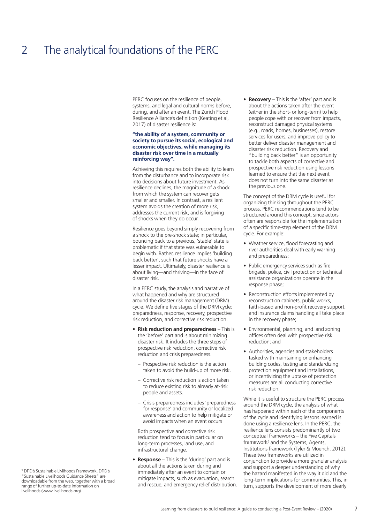## 2 The analytical foundations of the PERC

PERC focuses on the resilience of people, systems, and legal and cultural norms before, during, and after an event. The Zurich Flood Resilience Alliance's definition (Keating et al, 2017) of disaster resilience is:

#### **"the ability of a system, community or society to pursue its social, ecological and economic objectives, while managing its disaster risk over time in a mutually reinforcing way".**

Achieving this requires both the ability to learn from the disturbance and to incorporate risk into decisions about future investment. As resilience declines, the magnitude of a shock from which the system can recover gets smaller and smaller. In contrast, a resilient system avoids the creation of more risk, addresses the current risk, and is forgiving of shocks when they do occur.

Resilience goes beyond simply recovering from a shock to the pre-shock state; in particular, bouncing back to a previous, 'stable' state is problematic if that state was vulnerable to begin with. Rather, resilience implies 'building back better', such that future shocks have a lesser impact. Ultimately, disaster resilience is about living—and thriving—in the face of disaster risk.

In a PERC study, the analysis and narrative of what happened and why are structured around the disaster risk management (DRM) cycle. We define five stages of the DRM cycle: preparedness, response, recovery, prospective risk reduction, and corrective risk reduction.

- **Risk reduction and preparedness**  This is the 'before' part and is about minimizing disaster risk. It includes the three steps of prospective risk reduction, corrective risk reduction and crisis preparedness.
	- Prospective risk reduction is the action taken to avoid the build-up of more risk.
	- Corrective risk reduction is action taken to reduce existing risk to already at-risk people and assets.
	- Crisis preparedness includes 'preparedness for response' and community or localized awareness and action to help mitigate or avoid impacts when an event occurs

Both prospective and corrective risk reduction tend to focus in particular on long-term processes, land use, and infrastructural change.

• **Response** – This is the 'during' part and is about all the actions taken during and immediately after an event to contain or mitigate impacts, such as evacuation, search and rescue, and emergency relief distribution. • **Recovery** – This is the 'after' part and is about the actions taken after the event (either in the short- or long-term) to help people cope with or recover from impacts, reconstruct damaged physical systems (e.g., roads, homes, businesses), restore services for users, and improve policy to better deliver disaster management and disaster risk reduction. Recovery and "building back better" is an opportunity to tackle both aspects of corrective and prospective risk reduction using lessons learned to ensure that the next event does not turn into the same disaster as the previous one.

The concept of the DRM cycle is useful for organizing thinking throughout the PERC process. PERC recommendations tend to be structured around this concept, since actors often are responsible for the implementation of a specific time-step element of the DRM cycle. For example:

- Weather service, flood forecasting and river authorities deal with early warning and preparedness;
- Public emergency services such as fire brigade, police, civil protection or technical assistance organizations operate in the response phase;
- Reconstruction efforts implemented by reconstruction cabinets, public works, faith-based and non-profit recovery support, and insurance claims handling all take place in the recovery phase;
- Environmental, planning, and land zoning offices often deal with prospective risk reduction; and
- Authorities, agencies and stakeholders tasked with maintaining or enhancing building codes, testing and standardizing protection equipment and installations, or incentivizing the uptake of protection measures are all conducting corrective risk reduction.

While it is useful to structure the PERC process around the DRM cycle, the analysis of what has happened within each of the components of the cycle and identifying lessons learned is done using a resilience lens. In the PERC, the resilience lens consists predominantly of two conceptual frameworks – the Five Capitals framework<sup>5</sup> and the Systems, Agents, Institutions framework (Tyler & Moench, 2012). These two frameworks are utilized in conjunction to provide a more granular analysis and support a deeper understanding of why the hazard manifested in the way it did and the long-term implications for communities. This, in turn, supports the development of more clearly

5 DFID's Sustainable Livlihoods Framework. DFID's "Sustainable Livelihoods Guidance Sheets" are downloadable from the web, together with a broad range of further up-to-date information on livelihoods (www.livelihoods.org).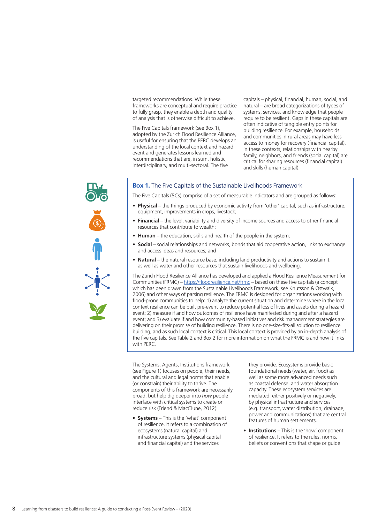targeted recommendations. While these frameworks are conceptual and require practice to fully grasp, they enable a depth and quality of analysis that is otherwise difficult to achieve.

The Five Capitals framework (see Box 1), adopted by the Zurich Flood Resilience Alliance, is useful for ensuring that the PERC develops an understanding of the local context and hazard event and generates lessons learned and recommendations that are, in sum, holistic, interdisciplinary, and multi-sectoral. The five

capitals – physical, financial, human, social, and natural – are broad categorizations of types of systems, services, and knowledge that people require to be resilient. Gaps in these capitals are often indicative of tangible entry points for building resilience. For example, households and communities in rural areas may have less access to money for recovery (financial capital). In these contexts, relationships with nearby family, neighbors, and friends (social capital) are critical for sharing resources (financial capital) and skills (human capital).

#### **Box 1.** The Five Capitals of the Sustainable Livelihoods Framework

The Five Capitals (5Cs) comprise of a set of measurable indicators and are grouped as follows:

- **Physical**  the things produced by economic activity from 'other' capital, such as infrastructure, equipment, improvements in crops, livestock;
- **Financial** the level, variability and diversity of income sources and access to other financial resources that contribute to wealth;
- **Human** the education, skills and health of the people in the system;
- **Social** social relationships and networks, bonds that aid cooperative action, links to exchange and access ideas and resources; and
- **Natural** the natural resource base, including land productivity and actions to sustain it, as well as water and other resources that sustain livelihoods and wellbeing.

The Zurich Flood Resilience Alliance has developed and applied a Flood Resilience Measurement for Communities (FRMC) – https://floodresilience.net/frmc – based on these five capitals (a concept which has been drawn from the Sustainable Livelihoods Framework, see Knutsson & Ostwalk, 2006) and other ways of parsing resilience. The FRMC is designed for organizations working with flood-prone communities to help: 1) analyze the current situation and determine where in the local context resilience can be built pre-event to reduce potential loss of lives and assets during a hazard event; 2) measure if and how outcomes of resilience have manifested during and after a hazard event; and 3) evaluate if and how community-based initiatives and risk management strategies are delivering on their promise of building resilience. There is no one-size-fits-all solution to resilience building, and as such local context is critical. This local context is provided by an in-depth analysis of the five capitals. See Table 2 and Box 2 for more information on what the FRMC is and how it links with PFRC

The Systems, Agents, Institutions framework (see Figure 1) focuses on people, their needs, and the cultural and legal norms that enable (or constrain) their ability to thrive. The components of this framework are necessarily broad, but help dig deeper into *how* people interface with critical systems to create or reduce risk (Friend & MacClune, 2012):

• **Systems** – This is the 'what' component of resilience. It refers to a combination of ecosystems (natural capital) and infrastructure systems (physical capital and financial capital) and the services

they provide. Ecosystems provide basic foundational needs (water, air, food) as well as some more advanced needs such as coastal defense, and water absorption capacity. These ecosystem services are mediated, either positively or negatively, by physical infrastructure and services (e.g. transport, water distribution, drainage, power and communications) that are central features of human settlements.

• **Institutions** – This is the 'how' component of resilience. It refers to the rules, norms, beliefs or conventions that shape or guide

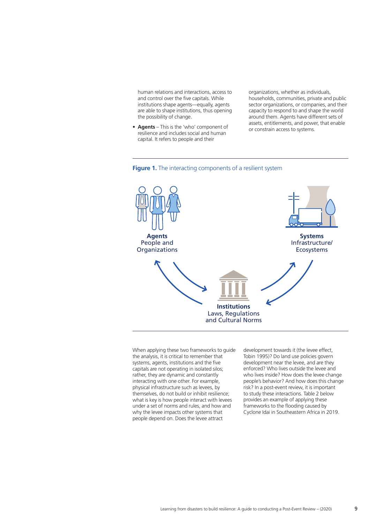human relations and interactions, access to and control over the five capitals. While institutions shape agents—equally, agents are able to shape institutions, thus opening the possibility of change.

• **Agents** – This is the 'who' component of resilience and includes social and human capital. It refers to people and their

organizations, whether as individuals, households, communities, private and public sector organizations, or companies, and their capacity to respond to and shape the world around them. Agents have different sets of assets, entitlements, and power, that enable or constrain access to systems.





When applying these two frameworks to guide the analysis, it is critical to remember that systems, agents, institutions and the five capitals are not operating in isolated silos; rather, they are dynamic and constantly interacting with one other. For example, physical infrastructure such as levees, by themselves, do not build or inhibit resilience; what is key is how people interact with levees under a set of norms and rules, and how and why the levee impacts other systems that people depend on. Does the levee attract

development towards it (the levee effect, Tobin 1995)? Do land use policies govern development near the levee, and are they enforced? Who lives outside the levee and who lives inside? How does the levee change people's behavior? And how does this change risk? In a post-event review, it is important to study these interactions. Table 2 below provides an example of applying these frameworks to the flooding caused by Cyclone Idai in Southeastern Africa in 2019.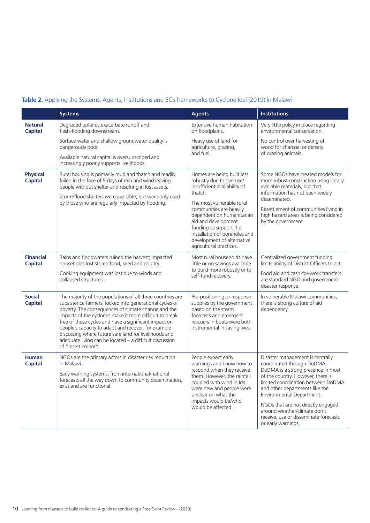### **Table 2.** Applying the Systems, Agents, Institutions and 5Cs frameworks to Cyclone Idai (2019) in Malawi

|                                    | <b>Systems</b>                                                                                                                                                                                                                                                                                                                                                                                                                                                                                    | <b>Agents</b>                                                                                                                                                                                                                             | <b>Institutions</b>                                                                                                                                                                                                                                                                                                                                                                 |
|------------------------------------|---------------------------------------------------------------------------------------------------------------------------------------------------------------------------------------------------------------------------------------------------------------------------------------------------------------------------------------------------------------------------------------------------------------------------------------------------------------------------------------------------|-------------------------------------------------------------------------------------------------------------------------------------------------------------------------------------------------------------------------------------------|-------------------------------------------------------------------------------------------------------------------------------------------------------------------------------------------------------------------------------------------------------------------------------------------------------------------------------------------------------------------------------------|
| <b>Natural</b><br><b>Capital</b>   | Degraded uplands exacerbate runoff and<br>flash-flooding downstream.                                                                                                                                                                                                                                                                                                                                                                                                                              | Extensive human habitation<br>on floodplains.                                                                                                                                                                                             | Very little policy in place regarding<br>environmental conservation.                                                                                                                                                                                                                                                                                                                |
|                                    | Surface water and shallow groundwater quality is<br>dangerously poor.<br>Available natural capital is oversubscribed and                                                                                                                                                                                                                                                                                                                                                                          | Heavy use of land for<br>agriculture, grazing,<br>and fuel.                                                                                                                                                                               | No control over harvesting of<br>wood for charcoal or density<br>of grazing animals.                                                                                                                                                                                                                                                                                                |
|                                    | increasingly poorly supports livelihoods.                                                                                                                                                                                                                                                                                                                                                                                                                                                         |                                                                                                                                                                                                                                           |                                                                                                                                                                                                                                                                                                                                                                                     |
| <b>Physical</b><br><b>Capital</b>  | Rural housing is primarily mud and thatch and readily<br>failed in the face of 5 days of rain and wind leaving<br>people without shelter and resulting in lost assets.<br>Storm/flood shelters were available, but were only used                                                                                                                                                                                                                                                                 | Homes are being built less<br>robustly due to overuse/<br>insufficient availability of<br>thatch.                                                                                                                                         | Some NGOs have created models for<br>more robust construction using locally<br>available materials, but that<br>information has not been widely                                                                                                                                                                                                                                     |
|                                    | by those who are regularly impacted by flooding.                                                                                                                                                                                                                                                                                                                                                                                                                                                  | The most vulnerable rural<br>communities are heavily<br>dependent on humanitarian<br>aid and development<br>funding to support the<br>installation of boreholes and<br>development of alternative<br>agricultural practices.              | disseminated.<br>Resettlement of communities living in<br>high hazard areas is being considered<br>by the government                                                                                                                                                                                                                                                                |
| <b>Financial</b><br><b>Capital</b> | Rains and floodwaters ruined the harvest; impacted<br>households lost stored food, seed and poultry.<br>Cooking equipment was lost due to winds and<br>collapsed structures.                                                                                                                                                                                                                                                                                                                      | Most rural households have<br>little or no savings available<br>to build more robustly or to<br>self-fund recovery.                                                                                                                       | Centralized government funding<br>limits ability of District Officers to act.<br>Food aid and cash-for-work transfers<br>are standard NGO and government<br>disaster response.                                                                                                                                                                                                      |
| <b>Social</b><br><b>Capital</b>    | The majority of the populations of all three countries are<br>subsistence farmers, locked into generational cycles of<br>poverty. The consequences of climate change and the<br>impacts of the cyclones make it more difficult to break<br>free of these cycles and have a significant impact on<br>people's capacity to adapt and recover, for example<br>discussing where future safe land for livelihoods and<br>adequate living can be located - a difficult discussion<br>of "resettlement". | Pre-positioning or response<br>supplies by the government<br>based on the storm<br>forecasts and emergent<br>rescuers in boats were both<br>instrumental in saving lives.                                                                 | In vulnerable Malawi communities,<br>there is strong culture of aid<br>dependency.                                                                                                                                                                                                                                                                                                  |
| <b>Human</b><br><b>Capital</b>     | NGOs are the primary actors in disaster risk reduction<br>in Malawi.<br>Early warning systems, from international/national<br>forecasts all the way down to community dissemination,<br>exist and are functional.                                                                                                                                                                                                                                                                                 | People expect early<br>warnings and know how to<br>respond when they receive<br>them. However, the rainfall<br>coupled with wind in Idai<br>were new and people were<br>unclear on what the<br>impacts would be/who<br>would be affected. | Disaster management is centrally<br>coordinated through DoDMA;<br>DoDMA is a strong presence in most<br>of the country. However, there is<br>limited coordination between DoDMA<br>and other departments like the<br>Environmental Department.<br>NGOs that are not directly engaged<br>around weather/climate don't<br>receive, use or disseminate forecasts<br>or early warnings. |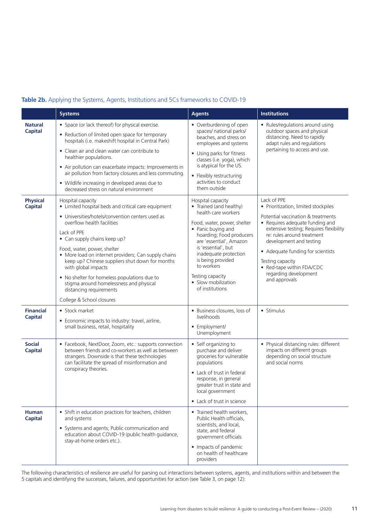### **Table 2b.** Applying the Systems, Agents, Institutions and 5Cs frameworks to COVID-19

|                                    | <b>Systems</b>                                                                                                                                                                                                                                                                                                                                                                                                                                                                                                                | <b>Agents</b>                                                                                                                                                                                                                                                                                                                    | <b>Institutions</b>                                                                                                                                                                                                                                                                                                                                              |
|------------------------------------|-------------------------------------------------------------------------------------------------------------------------------------------------------------------------------------------------------------------------------------------------------------------------------------------------------------------------------------------------------------------------------------------------------------------------------------------------------------------------------------------------------------------------------|----------------------------------------------------------------------------------------------------------------------------------------------------------------------------------------------------------------------------------------------------------------------------------------------------------------------------------|------------------------------------------------------------------------------------------------------------------------------------------------------------------------------------------------------------------------------------------------------------------------------------------------------------------------------------------------------------------|
| <b>Natural</b><br><b>Capital</b>   | • Space (or lack thereof) for physical exercise.<br>• Reduction of limited open space for temporary<br>hospitals (i.e. makeshift hospital in Central Park)<br>• Clean air and clean water can contribute to<br>healthier populations.<br>• Air pollution can exacerbate impacts: Improvements in<br>air pollution from factory closures and less commuting.<br>• Wildlife increasing in developed areas due to<br>decreased stress on natural environment                                                                     | • Overburdening of open<br>spaces/ national parks/<br>beaches, and stress on<br>employees and systems<br>• Using parks for fitness<br>classes (i.e. yoga), which<br>is atypical for the US.<br>• Flexibly restructuring<br>activities to conduct<br>them outside                                                                 | • Rules/regulations around using<br>outdoor spaces and physical<br>distancing. Need to rapidly<br>adapt rules and regulations<br>pertaining to access and use.                                                                                                                                                                                                   |
| <b>Physical</b><br><b>Capital</b>  | Hospital capacity<br>• Limited hospital beds and critical care equipment<br>• Universities/hotels/convention centers used as<br>overflow health facilities<br>Lack of PPE<br>• Can supply chains keep up?<br>Food, water, power, shelter<br>• More load on internet providers; Can supply chains<br>keep up? Chinese suppliers shut down for months<br>with global impacts<br>• No shelter for homeless populations due to<br>stigma around homelessness and physical<br>distancing requirements<br>College & School closures | Hospital capacity<br>• Trained (and healthy)<br>health care workers<br>Food, water, power, shelter<br>• Panic buying and<br>hoarding; Food producers<br>are 'essential', Amazon<br>is 'essential', but<br>inadequate protection<br>is being provided<br>to workers<br>Testing capacity<br>• Slow mobilization<br>of institutions | Lack of PPE<br>• Prioritization, limited stockpiles<br>Potential vaccination & treatments<br>• Requires adequate funding and<br>extensive testing; Requires flexibility<br>re: rules around treatment<br>development and testing<br>• Adequate funding for scientists<br>Testing capacity<br>• Red-tape within FDA/CDC<br>regarding development<br>and approvals |
| <b>Financial</b><br><b>Capital</b> | • Stock market<br>• Economic impacts to industry: travel, airline,<br>small business, retail, hospitality                                                                                                                                                                                                                                                                                                                                                                                                                     | • Business closures, loss of<br>livelihoods<br>• Employment/<br>Unemployment                                                                                                                                                                                                                                                     | • Stimulus                                                                                                                                                                                                                                                                                                                                                       |
| <b>Social</b><br><b>Capital</b>    | • Facebook, NextDoor, Zoom, etc.: supports connection<br>between friends and co-workers as well as between<br>strangers. Downside is that these technologies<br>can facilitate the spread of misinformation and<br>conspiracy theories.                                                                                                                                                                                                                                                                                       | • Self organizing to<br>purchase and deliver<br>groceries for vulnerable<br>populations<br>• Lack of trust in federal<br>response, in general<br>greater trust in state and<br>local government<br>• Lack of trust in science                                                                                                    | • Physical distancing rules: different<br>impacts on different groups<br>depending on social structure<br>and social norms                                                                                                                                                                                                                                       |
| <b>Human</b><br><b>Capital</b>     | • Shift in education practices for teachers, children<br>and systems<br>• Systems and agents; Public communication and<br>education about COVID-19 (public health guidance,<br>stay-at-home orders etc.).                                                                                                                                                                                                                                                                                                                     | • Trained health workers,<br>Public Health officials,<br>scientists, and local,<br>state, and federal<br>government officials<br>• Impacts of pandemic<br>on health of healthcare<br>providers                                                                                                                                   |                                                                                                                                                                                                                                                                                                                                                                  |

The following characteristics of resilience are useful for parsing out interactions between systems, agents, and institutions within and between the 5 capitals and identifying the successes, failures, and opportunities for action (see Table 3, on page 12):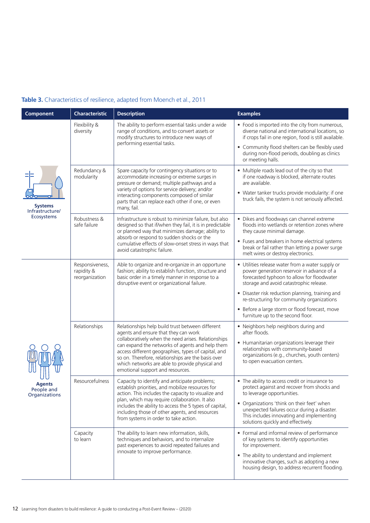### **Table 3.** Characteristics of resilience, adapted from Moench et al., 2011

| Component                                              | <b>Characteristic</b>                           | <b>Description</b>                                                                                                                                                                                                                                                                                                                                                                                     | <b>Examples</b>                                                                                                                                                                                                                                                                                                                                                                  |
|--------------------------------------------------------|-------------------------------------------------|--------------------------------------------------------------------------------------------------------------------------------------------------------------------------------------------------------------------------------------------------------------------------------------------------------------------------------------------------------------------------------------------------------|----------------------------------------------------------------------------------------------------------------------------------------------------------------------------------------------------------------------------------------------------------------------------------------------------------------------------------------------------------------------------------|
| <b>Systems</b><br>Infrastructure/<br><b>Ecosystems</b> | Flexibility &<br>diversity                      | The ability to perform essential tasks under a wide<br>range of conditions, and to convert assets or<br>modify structures to introduce new ways of<br>performing essential tasks.                                                                                                                                                                                                                      | • Food is imported into the city from numerous,<br>diverse national and international locations, so<br>if crops fail in one region, food is still available.<br>• Community flood shelters can be flexibly used<br>during non-flood periods, doubling as clinics<br>or meeting halls.                                                                                            |
|                                                        | Redundancy &<br>modularity                      | Spare capacity for contingency situations or to<br>accommodate increasing or extreme surges in<br>pressure or demand; multiple pathways and a<br>variety of options for service delivery; and/or<br>interacting components composed of similar<br>parts that can replace each other if one, or even<br>many, fail.                                                                                     | • Multiple roads lead out of the city so that<br>if one roadway is blocked, alternate routes<br>are available.<br>• Water tanker trucks provide modularity: if one<br>truck fails, the system is not seriously affected.                                                                                                                                                         |
|                                                        | Robustness &<br>safe failure                    | Infrastructure is robust to minimize failure, but also<br>designed so that if/when they fail, it is in predictable<br>or planned way that minimizes damage; ability to<br>absorb or respond to sudden shocks or the<br>cumulative effects of slow-onset stress in ways that<br>avoid catastrophic failure.                                                                                             | • Dikes and floodways can channel extreme<br>floods into wetlands or retention zones where<br>they cause minimal damage.<br>• Fuses and breakers in home electrical systems<br>break or fail rather than letting a power surge<br>melt wires or destroy electronics.                                                                                                             |
| <b>Agents</b><br>People and<br>Organizations           | Responsiveness,<br>rapidity &<br>reorganization | Able to organize and re-organize in an opportune<br>fashion; ability to establish function, structure and<br>basic order in a timely manner in response to a<br>disruptive event or organizational failure.                                                                                                                                                                                            | • Utilities release water from a water supply or<br>power generation reservoir in advance of a<br>forecasted typhoon to allow for floodwater<br>storage and avoid catastrophic release.<br>• Disaster risk reduction planning, training and<br>re-structuring for community organizations<br>• Before a large storm or flood forecast, move<br>furniture up to the second floor. |
|                                                        | Relationships                                   | Relationships help build trust between different<br>agents and ensure that they can work<br>collaboratively when the need arises. Relationships<br>can expand the networks of agents and help them<br>access different geographies, types of capital, and<br>so on. Therefore, relationships are the basis over<br>which networks are able to provide physical and<br>emotional support and resources. | • Neighbors help neighbors during and<br>after floods.<br>• Humanitarian organizations leverage their<br>relationships with community-based<br>organizations (e.g., churches, youth centers)<br>to open evacuation centers.                                                                                                                                                      |
|                                                        | Resourcefulness                                 | Capacity to identify and anticipate problems;<br>establish priorities, and mobilize resources for<br>action. This includes the capacity to visualize and<br>plan, which may require collaboration. It also<br>includes the ability to access the 5 types of capital,<br>including those of other agents, and resources<br>from systems in order to take action.                                        | • The ability to access credit or insurance to<br>protect against and recover from shocks and<br>to leverage opportunities.<br>• Organizations 'think on their feet' when<br>unexpected failures occur during a disaster.<br>This includes innovating and implementing<br>solutions quickly and effectively.                                                                     |
|                                                        | Capacity<br>to learn                            | The ability to learn new information, skills,<br>techniques and behaviors, and to internalize<br>past experiences to avoid repeated failures and<br>innovate to improve performance.                                                                                                                                                                                                                   | • Formal and informal review of performance<br>of key systems to identify opportunities<br>for improvement.<br>• The ability to understand and implement<br>innovative changes, such as adopting a new<br>housing design, to address recurrent flooding.                                                                                                                         |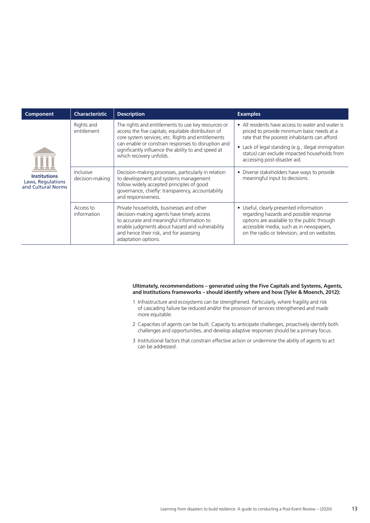| <b>Component</b>                                               | <b>Characteristic</b>        | <b>Description</b>                                                                                                                                                                                                                                                                                        | <b>Examples</b>                                                                                                                                                                                                                                                                                    |
|----------------------------------------------------------------|------------------------------|-----------------------------------------------------------------------------------------------------------------------------------------------------------------------------------------------------------------------------------------------------------------------------------------------------------|----------------------------------------------------------------------------------------------------------------------------------------------------------------------------------------------------------------------------------------------------------------------------------------------------|
| <b>Institutions</b><br>Laws, Regulations<br>and Cultural Norms | Rights and<br>entitlement    | The rights and entitlements to use key resources or<br>access the five capitals; equitable distribution of<br>core system services; etc. Rights and entitlements<br>can enable or constrain responses to disruption and<br>significantly influence the ability to and speed at<br>which recovery unfolds. | • All residents have access to water and water is<br>priced to provide minimum basic needs at a<br>rate that the poorest inhabitants can afford.<br>Lack of legal standing (e.g., illegal immigration<br>$\bullet$<br>status) can exclude impacted households from<br>accessing post-disaster aid. |
|                                                                | Inclusive<br>decision-making | Decision-making processes, particularly in relation<br>to development and systems management<br>follow widely accepted principles of good<br>governance, chiefly: transparency, accountability<br>and responsiveness.                                                                                     | • Diverse stakeholders have ways to provide<br>meaningful input to decisions.                                                                                                                                                                                                                      |
|                                                                | Access to<br>information     | Private households, businesses and other<br>decision-making agents have timely access<br>to accurate and meaningful information to<br>enable judgments about hazard and vulnerability<br>and hence their risk, and for assessing<br>adaptation options.                                                   | • Useful, clearly presented information<br>regarding hazards and possible response<br>options are available to the public through<br>accessible media, such as in newspapers,<br>on the radio or television, and on websites.                                                                      |

#### **Ultimately, recommendations – generated using the Five Capitals and Systems, Agents, and Institutions frameworks – should identify where and how (Tyler & Moench, 2012):**

- 1 Infrastructure and ecosystems can be strengthened. Particularly, where fragility and risk of cascading failure be reduced and/or the provision of services strengthened and made more equitable.
- 2 Capacities of agents can be built. Capacity to anticipate challenges, proactively identify both challenges and opportunities, and develop adaptive responses should be a primary focus.
- 3 Institutional factors that constrain effective action or undermine the ability of agents to act can be addressed.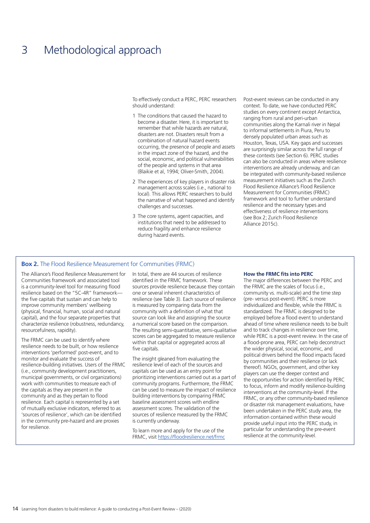## 3 Methodological approach

To effectively conduct a PERC, PERC researchers should understand:

- 1 The conditions that caused the hazard to become a disaster. Here, it is important to remember that while hazards are natural, disasters are not. Disasters result from a combination of natural hazard events occurring, the presence of people and assets in the impact zone of the hazard, and the social, economic, and political vulnerabilities of the people and systems in that area (Blaikie et al, 1994; Oliver-Smith, 2004).
- 2 The experiences of key players in disaster risk management across scales (i.e., national to local). This allows PERC researchers to build the narrative of what happened and identify challenges and successes.
- 3 The core systems, agent capacities, and institutions that need to be addressed to reduce fragility and enhance resilience during hazard events.

Post-event reviews can be conducted in any context. To date, we have conducted PERC studies on every continent except Antarctica, ranging from rural and peri-urban communities along the Karnali river in Nepal to informal settlements in Piura, Peru to densely populated urban areas such as Houston, Texas, USA. Key gaps and successes are surprisingly similar across the full range of these contexts (see Section 6). PERC studies can also be conducted in areas where resilience interventions are already underway, and can be integrated with community-based resilience measurement initiatives such as the Zurich Flood Resilience Alliance's Flood Resilience Measurement for Communities (FRMC) framework and tool to further understand resilience and the necessary types and effectiveness of resilience interventions (see Box 2; Zurich Flood Resilience Alliance 2015c).

#### **Box 2.** The Flood Resilience Measurement for Communities (FRMC)

The Alliance's Flood Resilience Measurement for Communities framework and associated tool is a community-level tool for measuring flood resilience based on the "5C-4R" framework the five capitals that sustain and can help to improve community members' wellbeing (physical, financial, human, social and natural capital), and the four separate properties that characterize resilience (robustness, redundancy, resourcefulness, rapidity).

The FRMC can be used to identify where resilience needs to be built, or how resilience interventions 'performed' post-event, and to monitor and evaluate the success of resilience-building initiatives. Users of the FRMC (i.e., community development practitioners, municipal governments, or civil organizations) work with communities to measure each of the capitals as they are present in the community and as they pertain to flood resilience. Each capital is represented by a set of mutually exclusive indicators, referred to as 'sources of resilience', which can be identified in the community pre-hazard and are proxies for resilience.

In total, there are 44 sources of resilience identified in the FRMC framework. These sources provide resilience because they contain one or several inherent characteristics of resilience (see Table 3). Each source of resilience is measured by comparing data from the community with a definition of what that source can look like and assigning the source a numerical score based on the comparison. The resulting semi-quantitative, semi-qualitative scores can be aggregated to measure resilience within that capital or aggregated across all five capitals.

The insight gleaned from evaluating the resilience level of each of the sources and capitals can be used as an entry point for prioritizing interventions carried out as a part of community programs. Furthermore, the FRMC can be used to measure the impact of resilience building interventions by comparing FRMC baseline assessment scores with endline assessment scores. The validation of the sources of resilience measured by the FRMC is currently underway.

To learn more and apply for the use of the FRMC, visit https://floodresilience.net/frmc

#### **How the FRMC fits into PERC**

The major differences between the PERC and the FRMC are the scales of focus (i.e., community vs. multi-scale) and the time step (pre- versus post-event). PERC is more individualized and flexible, while the FRMC is standardized. The FRMC is designed to be employed before a flood event to understand ahead of time where resilience needs to be built and to track changes in resilience over time, while PERC is a post-event review. In the case of a flood-prone area, PERC can help deconstruct the wider physical, social, economic, and political drivers behind the flood impacts faced by communities and their resilience (or lack thereof). NGOs, government, and other key players can use the deeper context and the opportunities for action identified by PERC to focus, inform and modify resilience-building interventions at the community-level. If the FRMC, or any other community-based resilience or disaster risk management evaluations, have been undertaken in the PERC study area, the information contained within these would provide useful input into the PERC study, in particular for understanding the pre-event resilience at the community-level.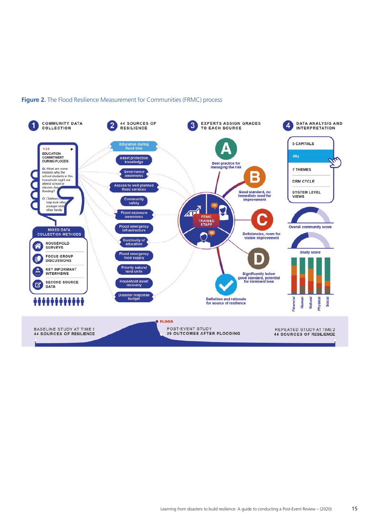

#### **Figure 2.** The Flood Resilience Measurement for Communities (FRMC) process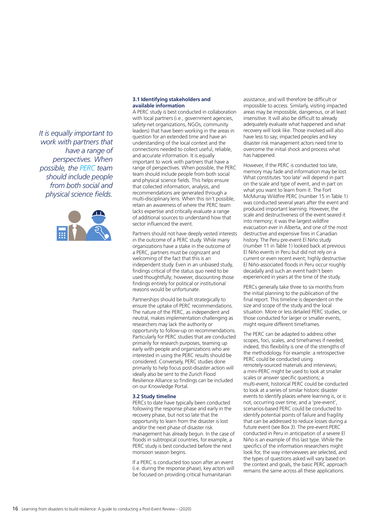*It is equally important to work with partners that have a range of perspectives. When possible, the PERC team should include people from both social and physical science fields.*



#### **3.1 Identifying stakeholders and available information**

A PERC study is best conducted in collaboration with local partners (i.e., government agencies, safety-net organizations, NGOs, community leaders) that have been working in the areas in question for an extended time and have an understanding of the local context and the connections needed to collect useful, reliable, and accurate information. It is equally important to work with partners that have a range of perspectives. When possible, the PERC team should include people from both social and physical science fields. This helps ensure that collected information, analysis, and recommendations are generated through a multi-disciplinary lens. When this isn't possible, retain an awareness of where the PERC team lacks expertise and critically evaluate a range of additional sources to understand how that sector influenced the event.

Partners should not have deeply vested interests in the outcome of a PERC study. While many organizations have a stake in the outcome of a PERC, partners must be cognizant and welcoming of the fact that this is an independent study. Even in an unbiased study, findings critical of the status quo need to be used thoughtfully; however, discounting those findings entirely for political or institutional reasons would be unfortunate.

Partnerships should be built strategically to ensure the uptake of PERC recommendations. The nature of the PERC, as independent and neutral, makes implementation challenging as researchers may lack the authority or opportunity to follow-up on recommendations. Particularly for PERC studies that are conducted primarily for research purposes, teaming up early with people and organizations who are interested in using the PERC results should be considered. Conversely, PERC studies done primarily to help focus post-disaster action will ideally also be sent to the Zurich Flood Resilience Alliance so findings can be included on our Knowledge Portal.

#### **3.2 Study timeline**

PERCs to date have typically been conducted following the response phase and early in the recovery phase, but not so late that the opportunity to learn from the disaster is lost and/or the next phase of disaster risk management has already begun. In the case of floods in subtropical countries, for example, a PERC study is best conducted before the next monsoon season begins.

If a PERC is conducted too soon after an event (i.e. during the response phase), key actors will be focused on providing critical humanitarian

assistance, and will therefore be difficult or impossible to access. Similarly, visiting impacted areas may be impossible, dangerous, or at least insensitive. It will also be difficult to already adequately evaluate what happened and what recovery will look like. Those involved will also have less to say; impacted peoples and key disaster risk management actors need time to overcome the initial shock and process what has happened.

However, if the PERC is conducted too late, memory may fade and information may be lost. What constitutes 'too late' will depend in part on the scale and type of event, and in part on what you want to learn from it. The Fort McMurray Wildfire PERC (number 15 in Table 1) was conducted several years after the event and produced important learning. However, the scale and destructiveness of the event seared it into memory; it was the largest wildfire evacuation ever in Alberta, and one of the most destructive and expensive fires in Canadian history. The Peru pre-event El Niño study (number 11 in Table 1) looked back at previous El Niño events in Peru but did not rely on a current or even recent event; highly destructive El Niño-associated floods in Peru occur roughly decadally and such an event hadn't been experienced in years at the time of the study.

PERCs generally take three to six months from the initial planning to the publication of the final report. This timeline is dependent on the size and scope of the study and the local situation. More or less detailed PERC studies, or those conducted for larger or smaller events, might require different timeframes.

The PERC can be adapted to address other scopes, foci, scales, and timeframes if needed; indeed, this flexibility is one of the strengths of the methodology. For example: a retrospective PERC could be conducted using remotely-sourced materials and interviews; a mini-PERC might be used to look at smaller scales or answer specific questions; a multi-event, historical PERC could be conducted to look at a series of similar historic disaster events to identify places where learning is, or is not, occurring over time; and a 'pre-event', scenarios-based PERC could be conducted to identify potential points of failure and fragility that can be addressed to reduce losses during a future event (see Box 3). The pre-event PERC conducted in Peru in anticipation of a severe El Niño is an example of this last type. While the specifics of the information researchers might look for, the way interviewees are selected, and the types of questions asked will vary based on the context and goals, the basic PERC approach remains the same across all these applications.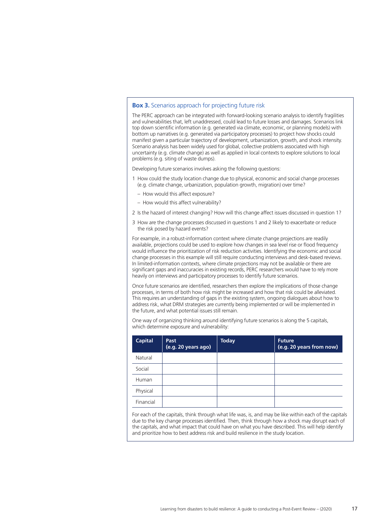#### **Box 3.** Scenarios approach for projecting future risk

The PERC approach can be integrated with forward-looking scenario analysis to identify fragilities and vulnerabilities that, left unaddressed, could lead to future losses and damages. Scenarios link top down scientific information (e.g. generated via climate, economic, or planning models) with bottom up narratives (e.g. generated via participatory processes) to project how shocks could manifest given a particular trajectory of development, urbanization, growth, and shock intensity. Scenario analysis has been widely used for global, collective problems associated with high uncertainty (e.g. climate change) as well as applied in local contexts to explore solutions to local problems (e.g. siting of waste dumps).

Developing future scenarios involves asking the following questions:

- 1 How could the study location change due to physical, economic and social change processes (e.g. climate change, urbanization, population growth, migration) over time?
	- How would this affect exposure?
	- How would this affect vulnerability?
- 2 Is the hazard of interest changing? How will this change affect issues discussed in question 1?
- 3 How are the change processes discussed in questions 1 and 2 likely to exacerbate or reduce the risk posed by hazard events?

For example, in a robust-information context where climate change projections are readily available, projections could be used to explore how changes in sea level rise or flood frequency would influence the prioritization of risk reduction activities. Identifying the economic and social change processes in this example will still require conducting interviews and desk-based reviews. In limited-information contexts, where climate projections may not be available or there are significant gaps and inaccuracies in existing records, PERC researchers would have to rely more heavily on interviews and participatory processes to identify future scenarios.

Once future scenarios are identified, researchers then explore the implications of those change processes, in terms of both how risk might be increased and how that risk could be alleviated. This requires an understanding of gaps in the existing system, ongoing dialogues about how to address risk, what DRM strategies are currently being implemented or will be implemented in the future, and what potential issues still remain.

One way of organizing thinking around identifying future scenarios is along the 5 capitals, which determine exposure and vulnerability:

| <b>Capital</b> | Past<br>(e.g. 20 years ago) | <b>Today</b> | <b>Future</b><br>(e.g. 20 years from now) |
|----------------|-----------------------------|--------------|-------------------------------------------|
| Natural        |                             |              |                                           |
| Social         |                             |              |                                           |
| Human          |                             |              |                                           |
| Physical       |                             |              |                                           |
| Financial      |                             |              |                                           |

For each of the capitals, think through what life was, is, and may be like within each of the capitals due to the key change processes identified. Then, think through how a shock may disrupt each of the capitals, and what impact that could have on what you have described. This will help identify and prioritize how to best address risk and build resilience in the study location.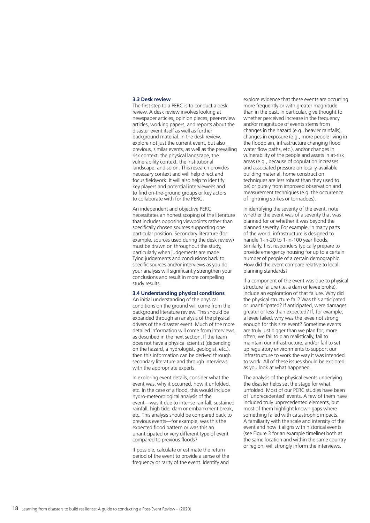#### **3.3 Desk review**

The first step to a PERC is to conduct a desk review. A desk review involves looking at newspaper articles, opinion pieces, peer-review articles, working papers, and reports about the disaster event itself as well as further background material. In the desk review, explore not just the current event, but also previous, similar events, as well as the prevailing risk context, the physical landscape, the vulnerability context, the institutional landscape, and so on. This research provides necessary context and will help direct and focus fieldwork. It will also help to identify key players and potential interviewees and to find on-the-ground groups or key actors to collaborate with for the PERC.

An independent and objective PERC necessitates an honest scoping of the literature that includes opposing viewpoints rather than specifically chosen sources supporting one particular position. Secondary literature (for example, sources used during the desk review) must be drawn on throughout the study, particularly when judgements are made. Tying judgements and conclusions back to specific sources and/or interviews as you do your analysis will significantly strengthen your conclusions and result in more compelling study results.

#### **3.4 Understanding physical conditions**

An initial understanding of the physical conditions on the ground will come from the background literature review. This should be expanded through an analysis of the physical drivers of the disaster event. Much of the more detailed information will come from interviews, as described in the next section. If the team does not have a physical scientist (depending on the hazard, a hydrologist, geologist, etc.), then this information can be derived through secondary literature and through interviews with the appropriate experts.

In exploring event details, consider what the event was, why it occurred, how it unfolded, etc. In the case of a flood, this would include hydro-meteorological analysis of the event—was it due to intense rainfall, sustained rainfall, high tide, dam or embankment break, etc. This analysis should be compared back to previous events—for example, was this the expected flood pattern or was this an unanticipated or very different type of event compared to previous floods?

If possible, calculate or estimate the return period of the event to provide a sense of the frequency or rarity of the event. Identify and

explore evidence that these events are occurring more frequently or with greater magnitude than in the past. In particular, give thought to whether perceived increase in the frequency and/or magnitude of events stems from changes in the hazard (e.g., heavier rainfalls), changes in exposure (e.g., more people living in the floodplain, infrastructure changing flood water flow paths, etc.), and/or changes in vulnerability of the people and assets in at-risk areas (e.g., because of population increases and associated pressure on locally-available building material, home construction techniques are less robust than they used to be) or purely from improved observation and measurement techniques (e.g. the occurrence of lightning strikes or tornadoes).

In identifying the severity of the event, note whether the event was of a severity that was planned for or whether it was beyond the planned severity. For example, in many parts of the world, infrastructure is designed to handle 1-in-20 to 1-in-100 year floods. Similarly, first responders typically prepare to provide emergency housing for up to a certain number of people of a certain demographic. How did the event compare relative to local planning standards?

If a component of the event was due to physical structure failure (i.e. a dam or levee broke), include an exploration of that failure. Why did the physical structure fail? Was this anticipated or unanticipated? If anticipated, were damages greater or less than expected? If, for example, a levee failed, why was the levee not strong enough for this size event? Sometime events are truly just bigger than we plan for; more often, we fail to plan realistically, fail to maintain our infrastructure, and/or fail to set up regulatory environments to support our infrastructure to work the way it was intended to work. All of these issues should be explored as you look at what happened.

The analysis of the physical events underlying the disaster helps set the stage for what unfolded. Most of our PERC studies have been of 'unprecedented' events. A few of them have included truly unprecedented elements, but most of them highlight known gaps where something failed with catastrophic impacts. A familiarity with the scale and intensity of the event and how it aligns with historical events (see Figure 3 for an example timeline) both at the same location and within the same country or region, will strongly inform the interviews.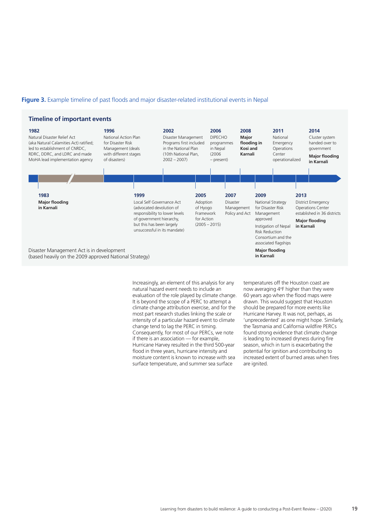#### **Figure 3.** Example timeline of past floods and major disaster-related institutional events in Nepal.



Increasingly, an element of this analysis for any natural hazard event needs to include an evaluation of the role played by climate change. It is beyond the scope of a PERC to attempt a climate change attribution exercise, and for the most part research studies linking the scale or intensity of a particular hazard event to climate change tend to lag the PERC in timing. Consequently, for most of our PERCs, we note if there is an association — for example, Hurricane Harvey resulted in the third 500-year flood in three years, hurricane intensity and moisture content is known to increase with sea surface temperature, and summer sea surface

temperatures off the Houston coast are now averaging 4°F higher than they were 60 years ago when the flood maps were drawn. This would suggest that Houston should be prepared for more events like Hurricane Harvey. It was not, perhaps, as 'unprecedented' as one might hope. Similarly, the Tasmania and California wildfire PERCs found strong evidence that climate change is leading to increased dryness during fire season, which in turn is exacerbating the potential for ignition and contributing to increased extent of burned areas when fires are ignited.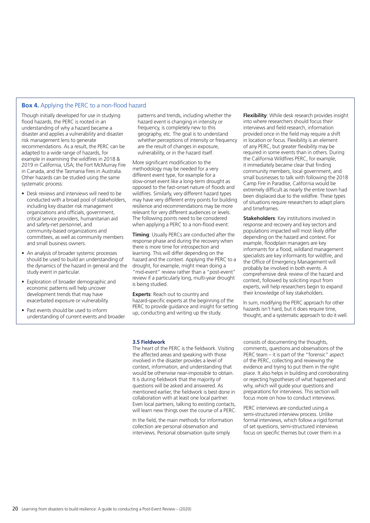#### **Box 4.** Applying the PERC to a non-flood hazard

Though initially developed for use in studying flood hazards, the PERC is rooted in an understanding of why a hazard became a disaster and applies a vulnerability and disaster risk management lens to generate recommendations. As a result, the PERC can be adapted to a wide range of hazards, for example in examining the wildfires in 2018 & 2019 in California, USA; the Fort McMurray Fire in Canada, and the Tasmania fires in Australia. Other hazards can be studied using the same systematic process:

- Desk reviews and interviews will need to be conducted with a broad pool of stakeholders, including key disaster risk management organizations and officials, government, critical service providers, humanitarian aid and safety-net personnel, and community-based organizations and committees, as well as community members and small business owners.
- An analysis of broader systemic processes should be used to build an understanding of the dynamics of the hazard in general and the study event in particular.
- Exploration of broader demographic and economic patterns will help uncover development trends that may have exacerbated exposure or vulnerability.
- Past events should be used to inform understanding of current events and broader

patterns and trends, including whether the hazard event is changing in intensity or frequency, is completely new to this geography, etc. The goal is to understand whether perceptions of intensity or frequency are the result of changes in exposure, vulnerability, or in the hazard itself.

More significant modification to the methodology may be needed for a very different event type, for example for a slow-onset event like a long-term drought as opposed to the fast-onset nature of floods and wildfires. Similarly, very different hazard types may have very different entry points for building resilience and recommendations may be more relevant for very different audiences or levels. The following points need to be considered when applying a PERC to a non-flood event:

**Timing**: Usually PERCs are conducted after the response phase and during the recovery when there is more time for introspection and learning. This will differ depending on the hazard and the context. Applying the PERC to a drought, for example, might mean doing a "mid-event" review rather than a "post-event" review if a particularly long, multi-year drought is being studied.

**Experts**: Reach out to country and hazard-specific experts at the beginning of the PERC to provide guidance and insight for setting up, conducting and writing up the study.

**Flexibility:** While desk research provides insight into where researchers should focus their interviews and field research, information provided once in the field may require a shift in location or focus. Flexibility is an element of any PERC, but greater flexibility may be required in some events than in others. During the California Wildfires PERC, for example, it immediately became clear that finding community members, local government, and small businesses to talk with following the 2018 Camp Fire in Paradise, California would be extremely difficult as nearly the entire town had been displaced due to the wildfire. These types of situations require researchers to adapt plans and timeframes.

**Stakeholders:** Key institutions involved in response and recovery and key sectors and populations impacted will most likely differ depending on the hazard and context. For example, floodplain managers are key informants for a flood, wildland management specialists are key informants for wildfire, and the Office of Emergency Management will probably be involved in both events. A comprehensive desk review of the hazard and context, followed by soliciting input from experts, will help researchers begin to expand their knowledge of key stakeholders.

In sum, modifying the PERC approach for other hazards isn't hard, but it does require time, thought, and a systematic approach to do it well.

#### **3.5 Fieldwork**

The heart of the PERC is the fieldwork. Visiting the affected areas and speaking with those involved in the disaster provides a level of context, information, and understanding that would be otherwise near-impossible to obtain. It is during fieldwork that the majority of questions will be asked and answered. As mentioned earlier, the fieldwork is best done in collaboration with at least one local partner. Even local partners, talking to existing contacts, will learn new things over the course of a PERC.

In the field, the main methods for information collection are personal observation and interviews. Personal observation quite simply

consists of documenting the thoughts, comments, questions and observations of the PERC team – it is part of the "forensic" aspect of the PERC, collecting and reviewing the evidence and trying to put them in the right place. It also helps in building and corroborating or rejecting hypotheses of what happened and why, which will quide your questions and preparations for interviews. This section will focus more on how to conduct interviews.

PERC interviews are conducted using a semi-structured interview process. Unlike formal interviews, which follow a rigid format of set questions, semi-structured interviews focus on specific themes but cover them in a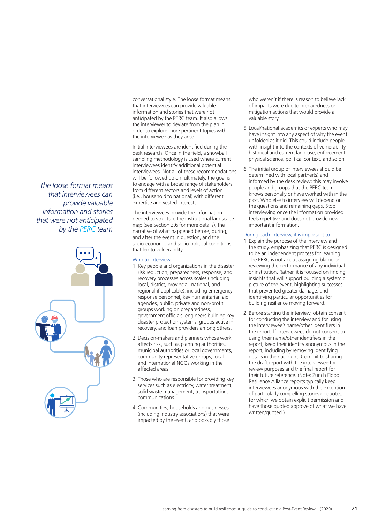conversational style. The loose format means that interviewees can provide valuable information and stories that were not anticipated by the PERC team. It also allows the interviewer to deviate from the plan in order to explore more pertinent topics with the interviewee as they arise.

Initial interviewees are identified during the desk research. Once in the field, a snowball sampling methodology is used where current interviewees identify additional potential interviewees. Not all of these recommendations will be followed up on; ultimately, the goal is to engage with a broad range of stakeholders from different sectors and levels of action (i.e., household to national) with different expertise and vested interests.

The interviewees provide the information needed to structure the institutional landscape map (see Section 3.6 for more details), the narrative of what happened before, during, and after the event in question, and the socio-economic and socio-political conditions that led to vulnerability.

#### Who to interview:

- 1 Key people and organizations in the disaster risk reduction, preparedness, response, and recovery processes across scales (including local, district, provincial, national, and regional if applicable), including emergency response personnel, key humanitarian aid agencies, public, private and non-profit groups working on preparedness, government officials, engineers building key disaster protection systems, groups active in recovery, and loan providers among others.
- 2 Decision-makers and planners whose work affects risk, such as planning authorities, municipal authorities or local governments, community representative groups, local and international NGOs working in the affected areas.
- 3 Those who are responsible for providing key services such as electricity, water treatment, solid waste management, transportation, communications.
- 4 Communities, households and businesses (including industry associations) that were impacted by the event, and possibly those

who weren't if there is reason to believe lack of impacts were due to preparedness or mitigation actions that would provide a valuable story.

- 5 Local/national academics or experts who may have insight into any aspect of why the event unfolded as it did. This could include people with insight into the contexts of vulnerability, historical and current land-use, enforcement, physical science, political context, and so on.
- 6 The initial group of interviewees should be determined with local partner(s) and informed by the desk review; this may involve people and groups that the PERC team knows personally or have worked with in the past. Who else to interview will depend on the questions and remaining gaps. Stop interviewing once the information provided feels repetitive and does not provide new, important information.

#### During each interview, it is important to:

- 1 Explain the purpose of the interview and the study, emphasizing that PERC is designed to be an independent process for learning. The PERC is not about assigning blame or reviewing the performance of any individual or institution. Rather, it is focused on finding insights that will support building a systemic picture of the event, highlighting successes that prevented greater damage, and identifying particular opportunities for building resilience moving forward.
- 2 Before starting the interview, obtain consent for conducting the interview and for using the interviewee's name/other identifiers in the report. If interviewees do not consent to using their name/other identifiers in the report, keep their identity anonymous in the report, including by removing identifying details in their account. Commit to sharing the draft report with the interviewee for review purposes and the final report for their future reference. (Note: Zurich Flood Resilience Alliance reports typically keep interviewees anonymous with the exception of particularly compelling stories or quotes, for which we obtain explicit permission and have those quoted approve of what we have written/quoted.)

*the loose format means that interviewees can provide valuable information and stories that were not anticipated by the PERC team*

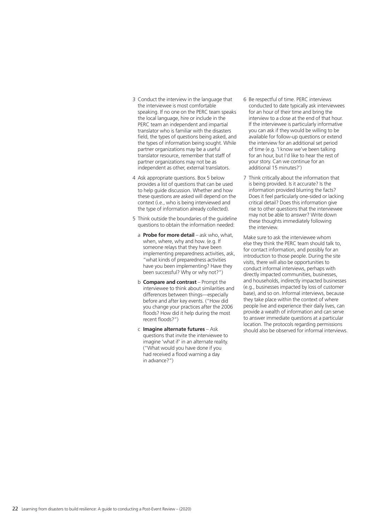- 3 Conduct the interview in the language that the interviewee is most comfortable speaking. If no one on the PERC team speaks the local language, hire or include in the PERC team an independent and impartial translator who is familiar with the disasters field, the types of questions being asked, and the types of information being sought. While partner organizations may be a useful translator resource, remember that staff of partner organizations may not be as independent as other, external translators.
- 4 Ask appropriate questions. Box 5 below provides a list of questions that can be used to help guide discussion. Whether and how these questions are asked will depend on the context (i.e., who is being interviewed and the type of information already collected).
- 5 Think outside the boundaries of the guideline questions to obtain the information needed:
	- a **Probe for more detail** ask who, what, when, where, why and how. (e.g. If someone relays that they have been implementing preparedness activities, ask, "what kinds of preparedness activities have you been implementing? Have they been successful? Why or why not?")
	- **b Compare and contrast** Prompt the interviewee to think about similarities and differences between things—especially before and after key events. ("How did you change your practices after the 2006 floods? How did it help during the most recent floods?")
	- c **Imagine alternate futures**  Ask questions that invite the interviewee to imagine 'what if' in an alternate reality. ("What would you have done if you had received a flood warning a day in advance?")
- 6 Be respectful of time. PERC interviews conducted to date typically ask interviewees for an hour of their time and bring the interview to a close at the end of that hour. If the interviewee is particularly informative you can ask if they would be willing to be available for follow-up questions or extend the interview for an additional set period of time (e.g. 'I know we've been talking for an hour, but I'd like to hear the rest of your story. Can we continue for an additional 15 minutes?')
- 7 Think critically about the information that is being provided. Is it accurate? Is the information provided blurring the facts? Does it feel particularly one-sided or lacking critical detail? Does this information give rise to other questions that the interviewee may not be able to answer? Write down these thoughts immediately following the interview.

Make sure to ask the interviewee whom else they think the PERC team should talk to, for contact information, and possibly for an introduction to those people. During the site visits, there will also be opportunities to conduct informal interviews, perhaps with directly impacted communities, businesses, and households, indirectly impacted businesses (e.g., businesses impacted by loss of customer base), and so on. Informal interviews, because they take place within the context of where people live and experience their daily lives, can provide a wealth of information and can serve to answer immediate questions at a particular location. The protocols regarding permissions should also be observed for informal interviews.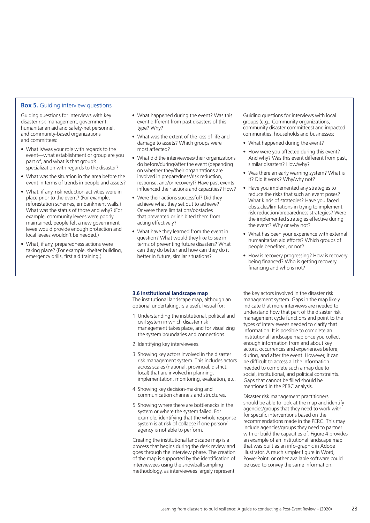#### **Box 5.** Guiding interview questions

Guiding questions for interviews with key disaster risk management, government, humanitarian aid and safety-net personnel, and community-based organizations and committees:

- What is/was your role with regards to the event—what establishment or group are you part of, and what is that group's specialization with regards to the disaster?
- What was the situation in the area before the event in terms of trends in people and assets?
- What, if any, risk reduction activities were in place prior to the event? (For example, reforestation schemes, embankment walls.) What was the status of those and why? (For example, community levees were poorly maintained, people felt a new government levee would provide enough protection and local levees wouldn't be needed.)
- What, if any, preparedness actions were taking place? (For example, shelter building, emergency drills, first aid training.)
- What happened during the event? Was this event different from past disasters of this type? Why?
- What was the extent of the loss of life and damage to assets? Which groups were most affected?
- What did the interviewees/their organizations do before/during/after the event (depending on whether they/their organizations are involved in preparedness/risk reduction, response, and/or recovery)? Have past events influenced their actions and capacities? How?
- Were their actions successful? Did they achieve what they set out to achieve? Or were there limitations/obstacles that prevented or inhibited them from acting effectively?
- What have they learned from the event in question? What would they like to see in terms of preventing future disasters? What can they do better and how can they do it better in future, similar situations?

Guiding questions for interviews with local groups (e.g., Community organizations, community disaster committees) and impacted communities, households and businesses:

- What happened during the event?
- How were you affected during this event? And why? Was this event different from past, similar disasters? How/why?
- Was there an early warning system? What is it? Did it work? Why/why not?
- Have you implemented any strategies to reduce the risks that such an event poses? What kinds of strategies? Have you faced obstacles/limitations in trying to implement risk reduction/preparedness strategies? Were the implemented strategies effective during the event? Why or why not?
- What has been your experience with external humanitarian aid efforts? Which groups of people benefited, or not?
- How is recovery progressing? How is recovery being financed? Who is getting recovery financing and who is not?

#### **3.6 Institutional landscape map**

The institutional landscape map, although an optional undertaking, is a useful visual for:

- 1 Understanding the institutional, political and civil system in which disaster risk management takes place, and for visualizing the system boundaries and connections.
- 2 Identifying key interviewees.
- 3 Showing key actors involved in the disaster risk management system. This includes actors across scales (national, provincial, district, local) that are involved in planning, implementation, monitoring, evaluation, etc.
- 4 Showing key decision-making and communication channels and structures.
- 5 Showing where there are bottlenecks in the system or where the system failed. For example, identifying that the whole response system is at risk of collapse if one person/ agency is not able to perform.

Creating the institutional landscape map is a process that begins during the desk review and goes through the interview phase. The creation of the map is supported by the identification of interviewees using the snowball sampling methodology, as interviewees largely represent

the key actors involved in the disaster risk management system. Gaps in the map likely indicate that more interviews are needed to understand how that part of the disaster risk management cycle functions and point to the types of interviewees needed to clarify that information. It is possible to complete an institutional landscape map once you collect enough information from and about key actors, occurrences and experiences before, during, and after the event. However, it can be difficult to access all the information needed to complete such a map due to social, institutional, and political constraints. Gaps that cannot be filled should be mentioned in the PERC analysis.

Disaster risk management practitioners should be able to look at the map and identify agencies/groups that they need to work with for specific interventions based on the recommendations made in the PERC. This may include agencies/groups they need to partner with or build the capacities of. Figure 4 provides an example of an institutional landscape map that was built as an info-graphic in Adobe Illustrator. A much simpler figure in Word, PowerPoint, or other available software could be used to convey the same information.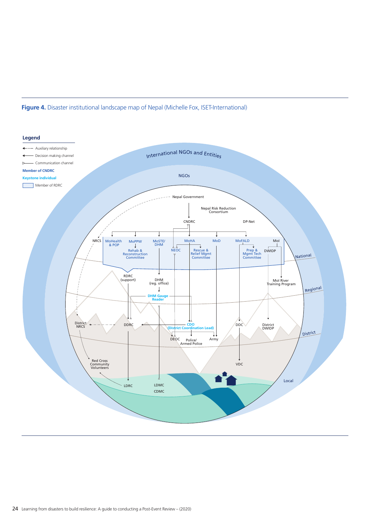#### **Figure 4.** Disaster institutional landscape map of Nepal (Michelle Fox, ISET-International)

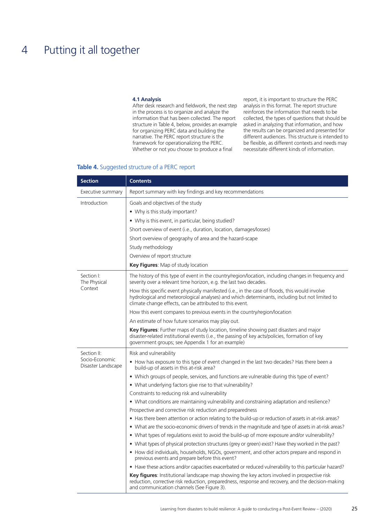## 4 Putting it all together

#### **4.1 Analysis**

After desk research and fieldwork, the next step in the process is to organize and analyze the information that has been collected. The report structure in Table 4, below, provides an example for organizing PERC data and building the narrative. The PERC report structure is the framework for operationalizing the PERC. Whether or not you choose to produce a final

report, it is important to structure the PERC analysis in this format. The report structure reinforces the information that needs to be collected, the types of questions that should be asked in analyzing that information, and how the results can be organized and presented for different audiences. This structure is intended to be flexible, as different contexts and needs may necessitate different kinds of information.

#### **Table 4.** Suggested structure of a PERC report

| <b>Section</b>                       | <b>Contents</b>                                                                                                                                                                                                                                              |
|--------------------------------------|--------------------------------------------------------------------------------------------------------------------------------------------------------------------------------------------------------------------------------------------------------------|
| Executive summary                    | Report summary with key findings and key recommendations                                                                                                                                                                                                     |
| Introduction                         | Goals and objectives of the study                                                                                                                                                                                                                            |
|                                      | • Why is this study important?                                                                                                                                                                                                                               |
|                                      | • Why is this event, in particular, being studied?                                                                                                                                                                                                           |
|                                      | Short overview of event (i.e., duration, location, damages/losses)                                                                                                                                                                                           |
|                                      | Short overview of geography of area and the hazard-scape                                                                                                                                                                                                     |
|                                      | Study methodology                                                                                                                                                                                                                                            |
|                                      | Overview of report structure                                                                                                                                                                                                                                 |
|                                      | Key Figures: Map of study location                                                                                                                                                                                                                           |
| Section I:<br>The Physical           | The history of this type of event in the country/region/location, including changes in frequency and<br>severity over a relevant time horizon, e.g. the last two decades.                                                                                    |
| Context                              | How this specific event physically manifested (i.e., in the case of floods, this would involve<br>hydrological and meteorological analyses) and which determinants, including but not limited to<br>climate change effects, can be attributed to this event. |
|                                      | How this event compares to previous events in the country/region/location                                                                                                                                                                                    |
|                                      | An estimate of how future scenarios may play out.                                                                                                                                                                                                            |
|                                      | Key Figures: Further maps of study location, timeline showing past disasters and major<br>disaster-related institutional events (i.e., the passing of key acts/policies, formation of key<br>government groups; see Appendix 1 for an example)               |
| Section II:                          | Risk and vulnerability                                                                                                                                                                                                                                       |
| Socio-Economic<br>Disaster Landscape | • How has exposure to this type of event changed in the last two decades? Has there been a<br>build-up of assets in this at-risk area?                                                                                                                       |
|                                      | • Which groups of people, services, and functions are vulnerable during this type of event?                                                                                                                                                                  |
|                                      | • What underlying factors give rise to that vulnerability?                                                                                                                                                                                                   |
|                                      | Constraints to reducing risk and vulnerability                                                                                                                                                                                                               |
|                                      | • What conditions are maintaining vulnerability and constraining adaptation and resilience?                                                                                                                                                                  |
|                                      | Prospective and corrective risk reduction and preparedness                                                                                                                                                                                                   |
|                                      | • Has there been attention or action relating to the build-up or reduction of assets in at-risk areas?                                                                                                                                                       |
|                                      | • What are the socio-economic drivers of trends in the magnitude and type of assets in at-risk areas?                                                                                                                                                        |
|                                      | • What types of regulations exist to avoid the build-up of more exposure and/or vulnerability?                                                                                                                                                               |
|                                      | • What types of physical protection structures (grey or green) exist? Have they worked in the past?                                                                                                                                                          |
|                                      | • How did individuals, households, NGOs, government, and other actors prepare and respond in<br>previous events and prepare before this event?                                                                                                               |
|                                      | • Have these actions and/or capacities exacerbated or reduced vulnerability to this particular hazard?                                                                                                                                                       |
|                                      | <b>Key figures:</b> Institutional landscape map showing the key actors involved in prospective risk<br>reduction, corrective risk reduction, preparedness, response and recovery, and the decision-making<br>and communication channels (See Figure 3).      |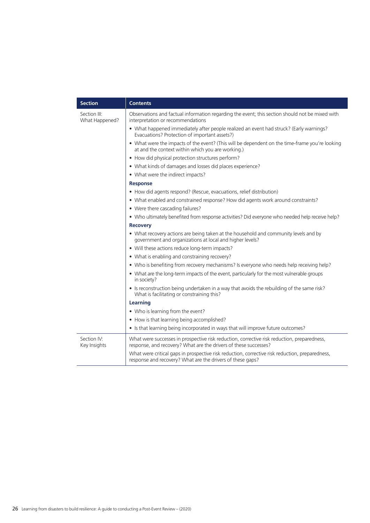| <b>Section</b>                 | <b>Contents</b>                                                                                                                                                 |
|--------------------------------|-----------------------------------------------------------------------------------------------------------------------------------------------------------------|
| Section III:<br>What Happened? | Observations and factual information regarding the event; this section should not be mixed with<br>interpretation or recommendations                            |
|                                | • What happened immediately after people realized an event had struck? (Early warnings?<br>Evacuations? Protection of important assets?)                        |
|                                | • What were the impacts of the event? (This will be dependent on the time-frame you're looking<br>at and the context within which you are working.)             |
|                                | • How did physical protection structures perform?                                                                                                               |
|                                | • What kinds of damages and losses did places experience?                                                                                                       |
|                                | • What were the indirect impacts?                                                                                                                               |
|                                | <b>Response</b>                                                                                                                                                 |
|                                | • How did agents respond? (Rescue, evacuations, relief distribution)                                                                                            |
|                                | • What enabled and constrained response? How did agents work around constraints?                                                                                |
|                                | • Were there cascading failures?                                                                                                                                |
|                                | . Who ultimately benefited from response activities? Did everyone who needed help receive help?                                                                 |
|                                | <b>Recovery</b>                                                                                                                                                 |
|                                | • What recovery actions are being taken at the household and community levels and by<br>government and organizations at local and higher levels?                |
|                                | • Will these actions reduce long-term impacts?                                                                                                                  |
|                                | • What is enabling and constraining recovery?                                                                                                                   |
|                                | . Who is benefiting from recovery mechanisms? Is everyone who needs help receiving help?                                                                        |
|                                | • What are the long-term impacts of the event, particularly for the most vulnerable groups<br>in society?                                                       |
|                                | • Is reconstruction being undertaken in a way that avoids the rebuilding of the same risk?<br>What is facilitating or constraining this?                        |
|                                | Learning                                                                                                                                                        |
|                                | • Who is learning from the event?                                                                                                                               |
|                                | • How is that learning being accomplished?                                                                                                                      |
|                                | • Is that learning being incorporated in ways that will improve future outcomes?                                                                                |
| Section IV:<br>Key Insights    | What were successes in prospective risk reduction, corrective risk reduction, preparedness,<br>response, and recovery? What are the drivers of these successes? |
|                                | What were critical gaps in prospective risk reduction, corrective risk reduction, preparedness,<br>response and recovery? What are the drivers of these gaps?   |

÷.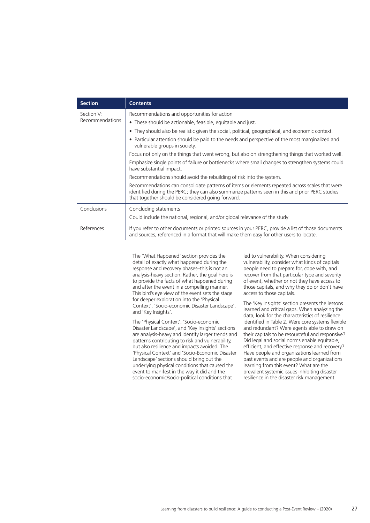| <b>Section</b>         | <b>Contents</b>                                                                                                                                                                                                                                         |
|------------------------|---------------------------------------------------------------------------------------------------------------------------------------------------------------------------------------------------------------------------------------------------------|
| Section V:             | Recommendations and opportunities for action                                                                                                                                                                                                            |
| <b>Recommendations</b> | • These should be actionable, feasible, equitable and just.                                                                                                                                                                                             |
|                        | • They should also be realistic given the social, political, geographical, and economic context.                                                                                                                                                        |
|                        | • Particular attention should be paid to the needs and perspective of the most marginalized and<br>vulnerable groups in society.                                                                                                                        |
|                        | Focus not only on the things that went wrong, but also on strengthening things that worked well.                                                                                                                                                        |
|                        | Emphasize single points of failure or bottlenecks where small changes to strengthen systems could<br>have substantial impact.                                                                                                                           |
|                        | Recommendations should avoid the rebuilding of risk into the system.                                                                                                                                                                                    |
|                        | Recommendations can consolidate patterns of items or elements repeated across scales that were<br>identified during the PERC; they can also summarize patterns seen in this and prior PERC studies<br>that together should be considered going forward. |
| Conclusions            | Concluding statements                                                                                                                                                                                                                                   |
|                        | Could include the national, regional, and/or global relevance of the study                                                                                                                                                                              |
| References             | If you refer to other documents or printed sources in your PERC, provide a list of those documents<br>and sources, referenced in a format that will make them easy for other users to locate.                                                           |

The 'What Happened' section provides the detail of exactly what happened during the response and recovery phases–this is not an analysis-heavy section. Rather, the goal here is to provide the facts of what happened during and after the event in a compelling manner. This bird's eye view of the event sets the stage for deeper exploration into the 'Physical Context', 'Socio-economic Disaster Landscape', and 'Key Insights'.

The 'Physical Context', 'Socio-economic Disaster Landscape', and 'Key Insights' sections are analysis-heavy and identify larger trends and patterns contributing to risk and vulnerability, but also resilience and impacts avoided. The 'Physical Context' and 'Socio-Economic Disaster Landscape' sections should bring out the underlying physical conditions that caused the event to manifest in the way it did and the socio-economic/socio-political conditions that

led to vulnerability. When considering vulnerability, consider what kinds of capitals people need to prepare for, cope with, and recover from that particular type and severity of event, whether or not they have access to those capitals, and why they do or don't have access to those capitals.

The 'Key Insights' section presents the lessons learned and critical gaps. When analyzing the data, look for the characteristics of resilience identified in Table 2. Were core systems flexible and redundant? Were agents able to draw on their capitals to be resourceful and responsive? Did legal and social norms enable equitable, efficient, and effective response and recovery? Have people and organizations learned from past events and are people and organizations learning from this event? What are the prevalent systemic issues inhibiting disaster resilience in the disaster risk management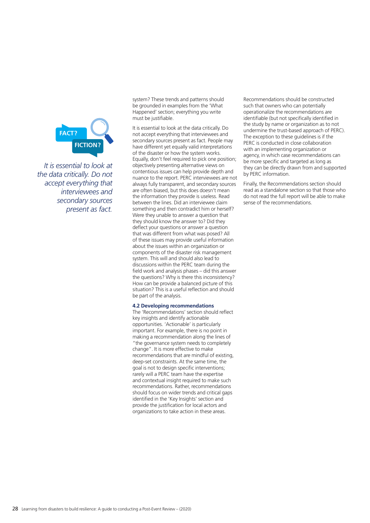

*It is essential to look at the data critically. Do not accept everything that interviewees and secondary sources present as fact.* 

system? These trends and patterns should be grounded in examples from the 'What Happened' section; everything you write must be justifiable.

It is essential to look at the data critically. Do not accept everything that interviewees and secondary sources present as fact. People may have different yet equally valid interpretations of the disaster or how the system works. Equally, don't feel required to pick one position; objectively presenting alternative views on contentious issues can help provide depth and nuance to the report. PERC interviewees are not always fully transparent, and secondary sources are often biased, but this does doesn't mean the information they provide is useless. Read between the lines. Did an interviewee claim something and then contradict him or herself? Were they unable to answer a question that they should know the answer to? Did they deflect your questions or answer a question that was different from what was posed? All of these issues may provide useful information about the issues within an organization or components of the disaster risk management system. This will and should also lead to discussions within the PERC team during the field work and analysis phases – did this answer the questions? Why is there this inconsistency? How can be provide a balanced picture of this situation? This is a useful reflection and should be part of the analysis.

#### **4.2 Developing recommendations**

The 'Recommendations' section should reflect key insights and identify actionable opportunities. 'Actionable' is particularly important. For example, there is no point in making a recommendation along the lines of "the governance system needs to completely change". It is more effective to make recommendations that are mindful of existing, deep-set constraints. At the same time, the goal is not to design specific interventions; rarely will a PERC team have the expertise and contextual insight required to make such recommendations. Rather, recommendations should focus on wider trends and critical gaps identified in the 'Key Insights' section and provide the justification for local actors and organizations to take action in these areas.

Recommendations should be constructed such that owners who can potentially operationalize the recommendations are identifiable (but not specifically identified in the study by name or organization as to not undermine the trust-based approach of PERC). The exception to these guidelines is if the PERC is conducted in close collaboration with an implementing organization or agency, in which case recommendations can be more specific and targeted as long as they can be directly drawn from and supported by PERC information.

Finally, the Recommendations section should read as a standalone section so that those who do not read the full report will be able to make sense of the recommendations.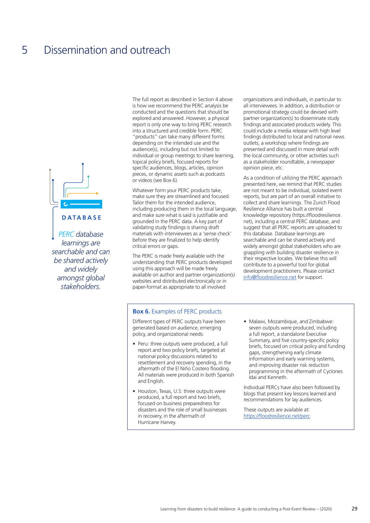

*PERC database learnings are searchable and can be shared actively and widely amongst global stakeholders.*

The full report as described in Section 4 above is how we recommend the PERC analysis be conducted and the questions that should be explored and answered. However, a physical report is only one way to bring PERC research into a structured and credible form. PERC "products" can take many different forms depending on the intended use and the audience(s), including but not limited to individual or group meetings to share learning, topical policy briefs, focused reports for specific audiences, blogs, articles, opinion pieces, or dynamic assets such as podcasts or videos (see Box 6).

Whatever form your PERC products take, make sure they are streamlined and focused. Tailor them for the intended audience, including producing them in the local language, and make sure what is said is justifiable and grounded in the PERC data. A key part of validating study findings is sharing draft materials with interviewees as a 'sense check' before they are finalized to help identify critical errors or gaps.

The PERC is made freely available with the understanding that PERC products developed using this approach will be made freely available on author and partner organization(s) websites and distributed electronically or in paper-format as appropriate to all involved

organizations and individuals, in particular to all interviewees. In addition, a distribution or promotional strategy could be devised with partner organization(s) to disseminate study findings and associated products widely. This could include a media release with high level findings distributed to local and national news outlets, a workshop where findings are presented and discussed in more detail with the local community, or other activities such as a stakeholder roundtable, a newspaper opinion piece, etc.

As a condition of utilizing the PERC approach presented here, we remind that PERC studies are not meant to be individual, isolated event reports, but are part of an overall initiative to collect and share learnings. The Zurich Flood Resilience Alliance has built a central knowledge repository (https://floodresilience. net), including a central PERC database, and suggest that all PERC reports are uploaded to this database. Database learnings are searchable and can be shared actively and widely amongst global stakeholders who are grappling with building disaster resilience in their respective locales. We believe this will contribute to a powerful tool for global development practitioners. Please contact info@floodresilience.net for support.

#### **Box 6.** Examples of PERC products

Different types of PERC outputs have been generated based on audience, emerging policy, and organizational needs:

- Peru: three outputs were produced, a full report and two policy briefs, targeted at national policy discussions related to resettlement and recovery spending, in the aftermath of the El Niño Costero flooding. All materials were produced in both Spanish and English.
- Houston, Texas, U.S: three outputs were produced, a full report and two briefs, focused on business preparedness for disasters and the role of small businesses in recovery, in the aftermath of Hurricane Harvey.
- Malawi, Mozambique, and Zimbabwe: seven outputs were produced, including a full report, a standalone Executive Summary, and five country-specific policy briefs, focused on critical policy and funding gaps, strengthening early climate information and early warning systems, and improving disaster risk reduction programming in the aftermath of Cyclones Idai and Kenneth.

Individual PERCs have also been followed by blogs that present key lessons learned and recommendations for lay audiences.

These outputs are available at: https://floodresilience.net/perc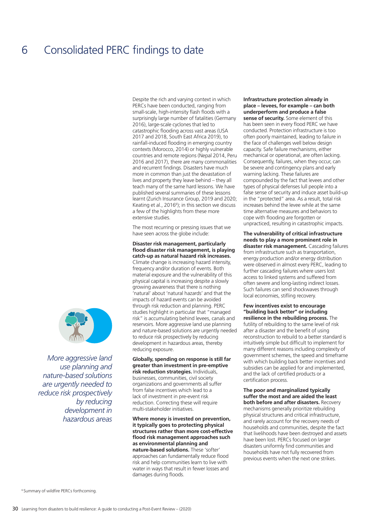## 6 Consolidated PERC findings to date

Despite the rich and varying context in which PERCs have been conducted, ranging from small-scale, high-intensity flash floods with a surprisingly large number of fatalities (Germany 2016), large-scale cyclones that led to catastrophic flooding across vast areas (USA 2017 and 2018, South East Africa 2019), to rainfall-induced flooding in emerging country contexts (Morocco, 2014) or highly vulnerable countries and remote regions (Nepal 2014, Peru 2016 and 2017), there are many commonalities and recurrent findings. Disasters have much more in common than just the devastation of lives and property they leave behind – they all teach many of the same hard lessons. We have published several summaries of these lessons learnt (Zurich Insurance Group, 2019 and 2020; Keating et al., 2016<sup>6</sup>); in this section we discuss a few of the highlights from these more extensive studies.

The most recurring or pressing issues that we have seen across the globe include:

**Disaster risk management, particularly flood disaster risk management, is playing catch-up as natural hazard risk increases.** Climate change is increasing hazard intensity, frequency and/or duration of events. Both material exposure and the vulnerability of this physical capital is increasing despite a slowly growing awareness that there is nothing 'natural' about 'natural hazards' and that the impacts of hazard events can be avoided through risk reduction and planning. PERC studies highlight in particular that "managed risk" is accumulating behind levees, canals and reservoirs. More aggressive land use planning and nature-based solutions are urgently needed to reduce risk prospectively by reducing development in hazardous areas, thereby reducing exposure.

**Globally, spending on response is still far greater than investment in pre-emptive risk reduction strategies.** Individuals, businesses, communities, civil society organizations and governments all suffer from false incentives which lead to a lack of investment in pre-event risk reduction. Correcting these will require multi-stakeholder initiatives.

**Where money is invested on prevention, it typically goes to protecting physical structures rather than more cost-effective flood risk management approaches such as environmental planning and nature-based solutions.** These 'softer' approaches can fundamentally reduce flood risk and help communities learn to live with water in ways that result in fewer losses and damages during floods.

#### **Infrastructure protection already in place – levees, for example – can both underperform and produce a false**

**sense of security.** Some element of this has been seen in every flood PERC we have conducted. Protection infrastructure is too often poorly maintained, leading to failure in the face of challenges well below design capacity. Safe failure mechanisms, either mechanical or operational, are often lacking. Consequently, failures, when they occur, can be severe and contingency plans and early warning lacking. These failures are compounded by the fact that levees and other types of physical defenses lull people into a false sense of security and induce asset build-up in the "protected" area. As a result, total risk increases behind the levee while at the same time alternative measures and behaviors to cope with flooding are forgotten or unpracticed, resulting in catastrophic impacts.

**The vulnerability of critical infrastructure needs to play a more prominent role in disaster risk management.** Cascading failures from infrastructure such as transportation, energy production and/or energy distribution were observed in almost every PERC, leading to further cascading failures where users lost access to linked systems and suffered from often severe and long-lasting indirect losses. Such failures can send shockwaves through local economies, stifling recovery.

**Few incentives exist to encourage "building back better" or including resilience in the rebuilding process.** The futility of rebuilding to the same level of risk after a disaster and the benefit of using reconstruction to rebuild to a better standard is intuitively simple but difficult to implement for many different reasons including complexity of government schemes, the speed and timeframe with which building back better incentives and subsidies can be applied for and implemented, and the lack of certified products or a certification process.

**The poor and marginalized typically suffer the most and are aided the least both before and after disasters.** Recovery mechanisms generally prioritize rebuilding physical structures and critical infrastructure, and rarely account for the recovery needs of households and communities, despite the fact that livelihoods have been destroyed and assets have been lost. PERCs focused on larger disasters uniformly find communities and households have not fully recovered from previous events when the next one strikes.



*More aggressive land use planning and nature-based solutions are urgently needed to reduce risk prospectively by reducing development in hazardous areas*

6 Summary of wildfire PERCs forthcoming.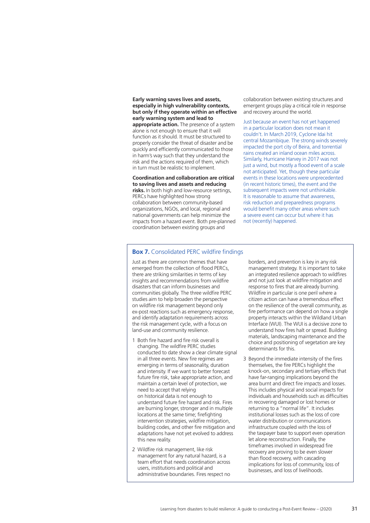**Early warning saves lives and assets, especially in high vulnerability contexts, but only if they operate within an effective early warning system and lead to appropriate action.** The presence of a system alone is not enough to ensure that it will function as it should. It must be structured to properly consider the threat of disaster and be quickly and efficiently communicated to those in harm's way such that they understand the risk and the actions required of them, which in turn must be realistic to implement.

#### **Coordination and collaboration are critical to saving lives and assets and reducing**

**risks.** In both high and low-resource settings, PERCs have highlighted how strong collaboration between community-based organizations, NGOs, and local, regional and national governments can help minimize the impacts from a hazard event. Both pre-planned coordination between existing groups and

collaboration between existing structures and emergent groups play a critical role in response and recovery around the world.

Just because an event has not yet happened in a particular location does not mean it couldn't. In March 2019, Cyclone Idai hit central Mozambique. The strong winds severely impacted the port city of Beira, and torrential rains created an inland ocean miles across. Similarly, Hurricane Harvey in 2017 was not just a wind, but mostly a flood event of a scale not anticipated. Yet, though these particular events in these locations were unprecedented (in recent historic times), the event and the subsequent impacts were not unthinkable. It is reasonable to assume that awareness, risk reduction and preparedness programs would benefit many other areas where such a severe event can occur but where it has not (recently) happened.

#### **Box 7.** Consolidated PERC wildfire findings

Just as there are common themes that have emerged from the collection of flood PERCs, there are striking similarities in terms of key insights and recommendations from wildfire disasters that can inform businesses and communities globally. The three wildfire PERC studies aim to help broaden the perspective on wildfire risk management beyond only ex-post reactions such as emergency response, and identify adaptation requirements across the risk management cycle, with a focus on land-use and community resilience.

- 1 Both fire hazard and fire risk overall is changing. The wildfire PERC studies conducted to date show a clear climate signal in all three events. New fire regimes are emerging in terms of seasonality, duration and intensity. If we want to better forecast future fire risk, take appropriate action, and maintain a certain level of protection, we need to accept that relying on historical data is not enough to understand future fire hazard and risk. Fires are burning longer, stronger and in multiple locations at the same time; firefighting intervention strategies, wildfire mitigation, building codes, and other fire mitigation and adaptations have not yet evolved to address this new reality.
- 2 Wildfire risk management, like risk management for any natural hazard, is a team effort that needs coordination across users, institutions and political and administrative boundaries. Fires respect no

borders, and prevention is key in any risk management strategy. It is important to take an integrated resilience approach to wildfires and not just look at wildfire mitigation and response to fires that are already burning. Wildfire in particular is one peril where a citizen action can have a tremendous effect on the resilience of the overall community, as fire performance can depend on how a single property interacts within the Wildland Urban Interface (WUI). The WUI is a decisive zone to understand how fires halt or spread. Building materials, landscaping maintenance and the choice and positioning of vegetation are key determinants for this.

3 Beyond the immediate intensity of the fires themselves, the fire PERCs highlight the knock-on, secondary and tertiary effects that have far-ranging implications beyond the area burnt and direct fire impacts and losses. This includes physical and social impacts for individuals and households such as difficulties in recovering damaged or lost homes or returning to a "normal life". It includes institutional losses such as the loss of core water distribution or communications infrastructure coupled with the loss of the taxpayer base to support even operation let alone reconstruction. Finally, the timeframes involved in widespread fire recovery are proving to be even slower than flood recovery, with cascading implications for loss of community, loss of businesses, and loss of livelihoods.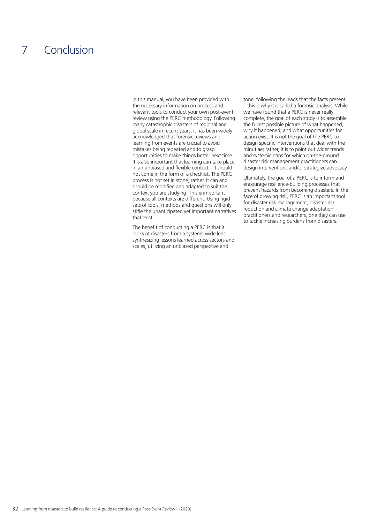## 7 Conclusion

In this manual, you have been provided with the necessary information on process and relevant tools to conduct your own post-event review using the PERC methodology. Following many catastrophic disasters of regional and global scale in recent years, it has been widely acknowledged that forensic reviews and learning from events are crucial to avoid mistakes being repeated and to grasp opportunities to make things better next time. It is also important that learning can take place in an unbiased and flexible context – it should not come in the form of a checklist. The PERC process is not set in stone; rather, it can and should be modified and adapted to suit the context you are studying. This is important because all contexts are different. Using rigid sets of tools, methods and questions will only stifle the unanticipated yet important narratives that exist.

The benefit of conducting a PERC is that it looks at disasters from a systems-wide lens, synthesizing lessons learned across sectors and scales, utilizing an unbiased perspective and

tone, following the leads that the facts present – this is why it is called a forensic analysis. While we have found that a PERC is never really complete, the goal of each study is to assemble the fullest possible picture of what happened, why it happened, and what opportunities for action exist. It is not the goal of the PERC to design specific interventions that deal with the minutiae; rather, it is to point out wider trends and systemic gaps for which on-the-ground disaster risk management practitioners can design interventions and/or strategize advocacy.

Ultimately, the goal of a PERC is to inform and encourage resilience-building processes that prevent hazards from becoming disasters. In the face of growing risk, PERC is an important tool for disaster risk management, disaster risk reduction and climate change adaptation practitioners and researchers, one they can use to tackle increasing burdens from disasters.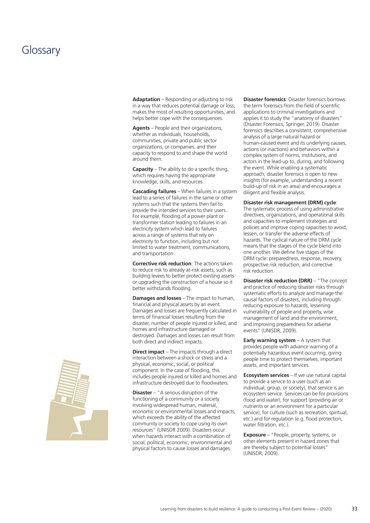### Glossary

**Adaptation** – Responding or adjusting to risk in a way that reduces potential damage or loss, makes the most of resulting opportunities, and helps better cope with the consequences.

**Agents** – People and their organizations, whether as individuals, households, communities, private and public sector organizations, or companies, and their capacity to respond to and shape the world around them.

**Capacity** – The ability to do a specific thing, which requires having the appropriate knowledge, skills, and resources.

**Cascading failures** – When failures in a system lead to a series of failures in the same or other systems such that the systems then fail to provide the intended services to their users. For example, flooding of a power plant or transformer station leading to failures in an electricity system which lead to failures across a range of systems that rely on electricity to function, including but not limited to water treatment, communications, and transportation.

**Corrective risk reduction**: The actions taken to reduce risk to already at-risk assets, such as building levees to better protect existing assets or upgrading the construction of a house so it better withstands flooding.

**Damages and losses** – The impact to human, financial and physical assets by an event. Damages and losses are frequently calculated in terms of financial losses resulting from the disaster, number of people injured or killed, and homes and infrastructure damaged or destroyed. Damages and losses can result from both direct and indirect impacts.

**Direct impact** – The impacts through a direct interaction between a shock or stress and a physical, economic, social, or political component. In the case of flooding, this includes people injured or killed and homes and infrastructure destroyed due to floodwaters.

**Disaster** – "A serious disruption of the functioning of a community or a society involving widespread human, material, economic or environmental losses and impacts, which exceeds the ability of the affected community or society to cope using its own resources" (UNISDR 2009). Disasters occur when hazards interact with a combination of social, political, economic, environmental and physical factors to cause losses and damages.

**Disaster forensics**: Disaster forensics borrows the term forensics from the field of scientific applications to criminal investigations and applies it to study the "anatomy of disasters" (Disaster Forensics, Springer, 2019). Disaster forensics describes a consistent, comprehensive analysis of a large natural hazard or human-caused event and its underlying causes, actions (or inactions) and behaviors within a complex system of norms, institutions, and actors in the lead-up to, during, and following the event. While enabling a systematic approach, disaster forensics is open to new insights (for example, understanding a recent build-up of risk in an area) and encourages a diligent and flexible analysis.

#### **Disaster risk management (DRM) cycle**:

The systematic process of using administrative directives, organizations, and operational skills and capacities to implement strategies and policies and improve coping capacities to avoid, lessen, or transfer the adverse effects of hazards. The cyclical nature of the DRM cycle means that the stages of the cycle blend into one another. We define five stages of the DRM cycle: preparedness, response, recovery, prospective risk reduction, and corrective risk reduction.

**Disaster risk reduction (DRR)** – "The concept and practice of reducing disaster risks through systematic efforts to analyze and manage the causal factors of disasters, including through reducing exposure to hazards, lessening vulnerability of people and property, wise management of land and the environment, and improving preparedness for adverse events" (UNISDR, 2009).

**Early warning system** – A system that provides people with advance warning of a potentially hazardous event occurring, giving people time to protect themselves, important assets, and important services.

**Ecosystem services** – If we use natural capital to provide a service to a user (such as an individual, group, or society), that service is an ecosystem service. Services can be for provisions (food and water), for support (providing air or nutrients or an environment for a particular service), for culture (such as recreation, spiritual, etc.) and for regulation (e.g. flood protection, water filtration, etc.).

**Exposure** – "People, property, systems, or other elements present in hazard zones that are thereby subject to potential losses" (UNISDR, 2009).

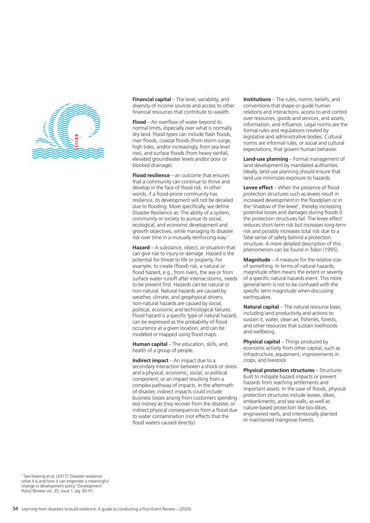

**Financial capital** – The level, variability, and diversity of income sources and access to other financial resources that contribute to wealth.

**Flood** – An overflow of water beyond its normal limits, especially over what is normally dry land. Flood types can include flash floods, river floods, coastal floods (from storm surge, high tides, and/or increasingly, from sea level rise), and surface floods (from heavy rainfall, elevated groundwater levels and/or poor or blocked drainage).

**Flood resilience** – an outcome that ensures that a community can continue to thrive and develop in the face of flood risk. In other words, if a flood-prone community has resilience, its development will not be derailed due to flooding. More specifically, we define Disaster Resilience as: The ability of a system, community or society to pursue its social, ecological, and economic development and growth objectives, while managing its disaster risk over time in a mutually reinforcing way.7

**Hazard** – A substance, object, or situation that can give rise to injury or damage. Hazard is the potential for threat to life or property. For example, to create (flood) risk, a natural or flood hazard, e.g., from rivers, the sea or from surface water runoff after intense storms, needs to be present first. Hazards can be natural or non-natural. Natural hazards are caused by weather, climate, and geophysical drivers; non-natural hazards are caused by social, political, economic and technological failures. Flood hazard is a specific type of natural hazard, can be expressed as the probability of flood occurrence at a given location, and can be modeled or mapped using flood maps.

**Human capital** – The education, skills, and health of a group of people.

**Indirect impact** – An impact due to a secondary interaction between a shock or stress and a physical, economic, social, or political component, or an impact resulting from a complex pathway of impacts. In the aftermath of disaster, indirect impacts could include business losses arising from customers spending less money as they recover from the disaster, or indirect physical consequences from a flood due to water contamination (not effects that the flood waters caused directly).

**Institutions** – The rules, norms, beliefs, and conventions that shape or guide human relations and interactions, access to and control over resources, goods and services, and assets, information, and influence. Legal norms are the formal rules and regulations created by legislative and administrative bodies. Cultural norms are informal rules, or social and cultural expectations, that govern human behavior.

**Land-use planning** – Formal management of land development by mandated authorities. Ideally, land-use planning should ensure that land use minimizes exposure to hazards.

**Levee effect** – When the presence of flood protection structures such as levees result in increased development in the floodplain or in the 'shadow of the levee', thereby increasing potential losses and damages during floods if the protection structures fail. The levee effect reduces short-term risk but increases long-term risk and possibly increases total risk due to a false sense of safety behind a protection structure. A more detailed description of this phenomenon can be found in Tobin (1995).

**Magnitude** – A measure for the relative size of something. In terms of natural hazards, magnitude often means the extent or severity of a specific natural hazards event. This more general term is not to be confused with the specific term magnitude when discussing earthquakes.

**Natural capital** – The natural resource base, including land productivity and actions to sustain it, water, clean air, fisheries, forests, and other resources that sustain livelihoods and wellbeing.

**Physical capital** – Things produced by economic activity from other capital, such as infrastructure, equipment, improvements in crops, and livestock.

**Physical protection structures** – Structures built to mitigate hazard impacts or prevent hazards from reaching settlements and important assets. In the case of floods, physical protection structures include levees, dikes, embankments, and sea walls, as well as nature-based protection like bio-dikes, engineered reefs, and intentionally planted or maintained mangrove forests.

7 See Keating et al. (2017) 'Disaster resilience: what it is and how it can engender a meaningful change in development policy' Development Policy Review vol. 35, issue 1, pg. 65-91.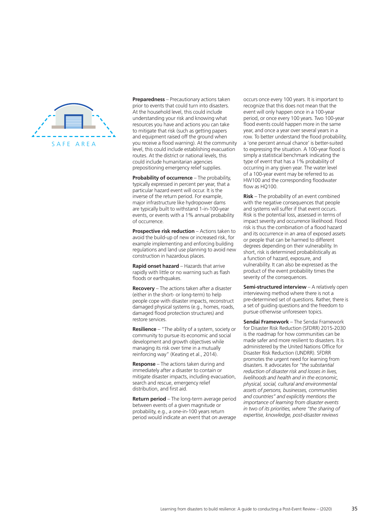

**Preparedness** – Precautionary actions taken prior to events that could turn into disasters. At the household level, this could include understanding your risk and knowing what resources you have and actions you can take to mitigate that risk (such as getting papers and equipment raised off the ground when you receive a flood warning). At the community level, this could include establishing evacuation routes. At the district or national levels, this could include humanitarian agencies prepositioning emergency relief supplies.

**Probability of occurrence** – The probability, typically expressed in percent per year, that a particular hazard event will occur. It is the inverse of the return period. For example, major infrastructure like hydropower dams are typically built to withstand 1-in-100-year events, or events with a 1% annual probability of occurrence.

**Prospective risk reduction** – Actions taken to avoid the build-up of new or increased risk, for example implementing and enforcing building regulations and land use planning to avoid new construction in hazardous places.

**Rapid onset hazard** – Hazards that arrive rapidly with little or no warning such as flash floods or earthquakes.

**Recovery** – The actions taken after a disaster (either in the short- or long-term) to help people cope with disaster impacts, reconstruct damaged physical systems (e.g., homes, roads, damaged flood protection structures) and restore services.

**Resilience** – "The ability of a system, society or community to pursue its economic and social development and growth objectives while managing its risk over time in a mutually reinforcing way" (Keating et al., 2014).

**Response** – The actions taken during and immediately after a disaster to contain or mitigate disaster impacts, including evacuation, search and rescue, emergency relief distribution, and first aid.

**Return period** – The long-term average period between events of a given magnitude or probability, e.g., a one-in-100 years return period would indicate an event that *on average*

occurs once every 100 years. It is important to recognize that this does not mean that the event will only happen once in a 100-year period, or once every 100 years. Two 100-year flood events could happen more in the same year, and once a year over several years in a row. To better understand the flood probability, a 'one percent annual chance' is better-suited to expressing the situation. A 100-year flood is simply a statistical benchmark indicating the type of event that has a 1% probability of occurring in any given year. The water level of a 100-year event may be referred to as HW100 and the corresponding floodwater flow as HQ100.

**Risk** – The probability of an event combined with the negative consequences that people and systems will suffer if that event occurs. Risk is the potential loss, assessed in terms of impact severity and occurrence likelihood. Flood risk is thus the combination of a flood hazard and its occurrence in an area of exposed assets or people that can be harmed to different degrees depending on their vulnerability. In short, risk is determined probabilistically as a function of hazard, exposure, and vulnerability. It can also be expressed as the product of the event probability times the severity of the consequences.

**Semi-structured interview** - A relatively open interviewing method where there is not a pre-determined set of questions. Rather, there is a set of guiding questions and the freedom to pursue otherwise unforeseen topics.

**Sendai Framework** – The Sendai Framework for Disaster Risk Reduction (SFDRR) 2015-2030 is the roadmap for how communities can be made safer and more resilient to disasters. It is administered by the United Nations Office for Disaster Risk Reduction (UNDRR). SFDRR promotes the urgent need for learning from disasters. It advocates for *"the substantial reduction of disaster risk and losses in lives, livelihoods and health and in the economic, physical, social, cultural and environmental assets of persons, businesses, communities and countries" and explicitly mentions the importance of learning from disaster events in two of its priorities, where "the sharing of expertise, knowledge, post-disaster reviews*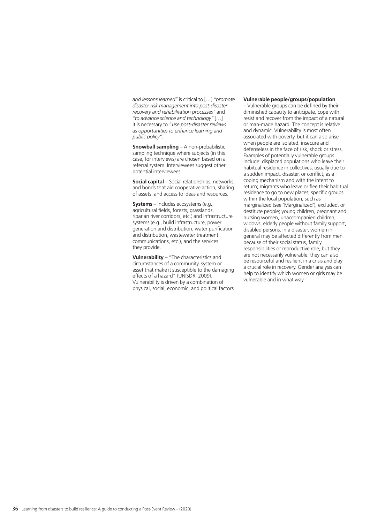*and lessons learned"* is critical to […] *"promote disaster risk management into post-disaster recovery and rehabilitation processes"* and *"to advance science and technology"* […] it is necessary to "*use post-disaster reviews as opportunities to enhance learning and public policy".*

**Snowball sampling** – A non-probabilistic sampling technique where subjects (in this case, for interviews) are chosen based on a referral system. Interviewees suggest other potential interviewees.

**Social capital** – Social relationships, networks, and bonds that aid cooperative action, sharing of assets, and access to ideas and resources.

**Systems** – Includes ecosystems (e.g., agricultural fields, forests, grasslands, riparian river corridors, etc.) and infrastructure systems (e.g., build infrastructure, power generation and distribution, water purification and distribution, wastewater treatment, communications, etc.), and the services they provide.

**Vulnerability** – "The characteristics and circumstances of a community, system or asset that make it susceptible to the damaging effects of a hazard" (UNISDR, 2009). Vulnerability is driven by a combination of physical, social, economic, and political factors **Vulnerable people/groups/population**

– Vulnerable groups can be defined by their diminished capacity to anticipate, cope with, resist and recover from the impact of a natural or man-made hazard. The concept is relative and dynamic. Vulnerability is most often associated with poverty, but it can also arise when people are isolated, insecure and defenseless in the face of risk, shock or stress. Examples of potentially vulnerable groups include: displaced populations who leave their habitual residence in collectives, usually due to a sudden impact, disaster, or conflict, as a coping mechanism and with the intent to return; migrants who leave or flee their habitual residence to go to new places; specific groups within the local population, such as marginalized (see 'Marginalized'), excluded, or destitute people; young children, pregnant and nursing women, unaccompanied children, widows, elderly people without family support, disabled persons. In a disaster, women in general may be affected differently from men because of their social status, family responsibilities or reproductive role, but they are not necessarily vulnerable; they can also be resourceful and resilient in a crisis and play a crucial role in recovery. Gender analysis can help to identify which women or girls may be vulnerable and in what way.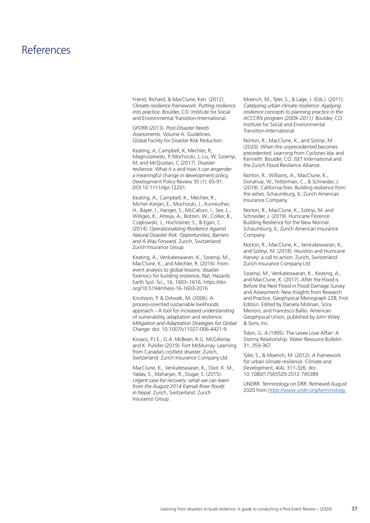### References

Friend, Richard, & MacClune, Ken. (2012). *Climate resilience framework: Putting resilience into practice*. Boulder, CO: Institute for Social and Environmental Transition-International.

GFDRR (2013). *Post-Disaster Needs Assessments*. Volume A. Guidelines. Global Facility for Disaster Risk Reduction.

Keating, A, Campbell, K, Mechler, R, Magnuszewski, P, Mochizuki, J, Liu, W, Szoenyi, M, and McQuistan, C (2017). Disaster resilience: What it is and how it can engender a meaningful change in development policy, Development Policy Review 35 (1): 65-91. DOI:10.1111/dpr.12201.

Keating, A., Campbell, K., Mechler, R., Michel–Kerjan, E., Mochizuki, J., Kunreuther, H., Bayer, J., Hanger, S., McCallum, I., See, L., Williges, K., Atreya, A., Botzen, W., Collier, B., Czajkowski, J., Hochrainer, S., & Egan, C. (2014). *Operationalizing Resilience Against Natural Disaster Risk: Opportunities, Barriers and A Way Forward*. Zurich, Switzerland: Zurich Insurance Group.

Keating, A., Venkateswaran, K., Szoenyi, M., MacClune, K., and Mechler, R. (2016). From event analysis to global lessons: disaster forensics for building resilience, Nat. Hazards Earth Syst. Sci., 16, 1603–1616, https://doi. org/10.5194/nhess-16-1603-2016

Knutsson, P. & Ostwalk, M. (2006). A process-oriented sustainable livelihoods approach – A tool for increased understanding of vulnerability, adaptation and resilience. *Mitigation and Adaptation Strategies for Global Change*. doi: 10.1007/s11027-006-4421-9.

Kovacs, P.J.E., G.A. McBean, R.G. McGillivray and K. Pulsifer (2019). Fort McMurray: Learning from Canada's costliest disaster. Zurich, Switzerland: Zurich Insurance Company Ltd.

MacClune, K., Venkateswaran, K., Dixit. K. M., Yadav, S., Maharjan, R., Dugar, S. (2015). *Urgent case for recovery: what we can learn from the August 2014 Karnali River floods in Nepal*. Zurich, Switzerland: Zurich Insurance Group.

Moench, M., Tyler, S., & Lage, J. (Eds.). (2011). *Catalyzing urban climate resilience: Applying resilience concepts to planning practice in the ACCCRN program (2009–2011)*. Boulder, CO: Institute for Social and Environmental Transition-International.

Norton, R., MacClune, K., and Szönyi, M. (2020). When the unprecedented becomes precedented: Learning from Cyclones Idai and Kenneth. Boulder, CO: ISET International and the Zurich Flood Resilience Alliance.

Norton, R., Williams, A., MacClune, K., Donahue, W., Fetterman, C., & Schneider, J. (2019). California fires: Building resilience from the ashes. Schaumburg, IL: Zurich American Insurance Company.

Norton, R., MacClune, K., Szönyi, M. and Schneider, J. (2019). Hurricane Florence: Building Resilience for the New Normal. Schaumburg, IL: Zurich American Insurance Company.

Norton, R., MacClune, K., Venkateswaran, K, and Szönyi, M. (2018). Houston and Hurricane Harvey: a call to action. Zurich, Switzerland: Zurich Insurance Company Ltd.

Szoenyi, M., Venkateswaran, K., Keating, A., and MacClune, K. (2017). After the Flood is Before the Next Flood in Flood Damage Survey and Assessment: New Insights from Research and Practice, Geophysical Monograph 228, First Edition. Edited by Daniela Molinari, Scira Menoni, and Francesco Ballio. American Geophysical Union, published by John Wiley & Sons, Inc.

Tobin, G. A (1995). The Levee Love Affair: A Stormy Relationship. Water Resource Bulletin. 31, 359-367.

Tyler, S., & Moench, M. (2012). A framework for urban climate resilience. Climate and Development, 4(4), 311-326. doi: 10.1080/17565529.2012.745389

UNDRR. Terminology on DRR. Retrieved August 2020 from https://www.undrr.org/terminology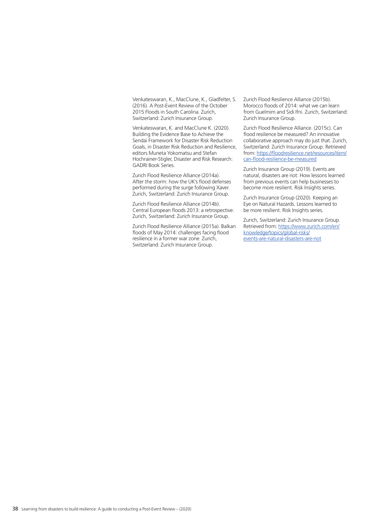Venkateswaran, K., MacClune, K., Gladfelter, S. (2016). A Post-Event Review of the October 2015 Floods in South Carolina. Zurich, Switzerland: Zurich Insurance Group.

Venkateswaran, K. and MacClune K. (2020). Building the Evidence Base to Achieve the Sendai Framework for Disaster Risk Reduction Goals, in Disaster Risk Reduction and Resilience, editors Muneta Yokomatsu and Stefan Hochrainer-Stigler, Disaster and Risk Research: GADRI Book Series.

Zurich Flood Resilience Alliance (2014a). After the storm: how the UK's flood defenses performed during the surge following Xaver. Zurich, Switzerland: Zurich Insurance Group.

Zurich Flood Resilience Alliance (2014b). Central European floods 2013: a retrospective. Zurich, Switzerland: Zurich Insurance Group.

Zurich Flood Resilience Alliance (2015a). Balkan floods of May 2014: challenges facing flood resilience in a former war zone. Zurich, Switzerland: Zurich Insurance Group.

Zurich Flood Resilience Alliance (2015b). Morocco floods of 2014: what we can learn from Guelmim and Sidi Ifni. Zurich, Switzerland: Zurich Insurance Group.

Zurich Flood Resilience Alliance. (2015c). Can flood resilience be measured? An innovative collaborative approach may do just that. Zurich, Switzerland: Zurich Insurance Group. Retrieved from: https://floodresilience.net/resources/item/ can-flood-resilience-be-measured

Zurich Insurance Group (2019). Events are natural, disasters are not: How lessons learned from previous events can help businesses to become more resilient. Risk Insights series.

Zurich Insurance Group (2020). Keeping an Eye on Natural Hazards. Lessons learned to be more resilient. Risk Insights series.

Zurich, Switzerland: Zurich Insurance Group. Retrieved from: https://www.zurich.com/en/ knowledge/topics/global-risks/ events-are-natural-disasters-are-not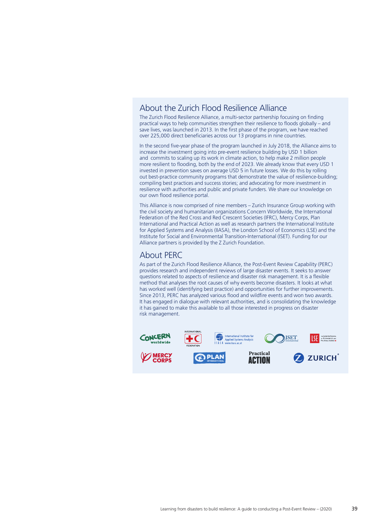### About the Zurich Flood Resilience Alliance

The Zurich Flood Resilience Alliance, a multi-sector partnership focusing on finding practical ways to help communities strengthen their resilience to floods globally – and save lives, was launched in 2013. In the first phase of the program, we have reached over 225,000 direct beneficiaries across our 13 programs in nine countries.

In the second five-year phase of the program launched in July 2018, the Alliance aims to increase the investment going into pre-event resilience building by USD 1 billion and commits to scaling up its work in climate action, to help make 2 million people more resilient to flooding, both by the end of 2023. We already know that every USD 1 invested in prevention saves on average USD 5 in future losses. We do this by rolling out best-practice community programs that demonstrate the value of resilience-building; compiling best practices and success stories; and advocating for more investment in resilience with authorities and public and private funders. We share our knowledge on our own flood resilience portal.

This Alliance is now comprised of nine members – Zurich Insurance Group working with the civil society and humanitarian organizations Concern Worldwide, the International Federation of the Red Cross and Red Crescent Societies (IFRC), Mercy Corps, Plan International and Practical Action as well as research partners the International Institute for Applied Systems and Analysis (IIASA), the London School of Economics (LSE) and the Institute for Social and Environmental Transition-International (ISET). Funding for our Alliance partners is provided by the Z Zurich Foundation.

### About PERC

As part of the Zurich Flood Resilience Alliance, the Post-Event Review Capability (PERC) provides research and independent reviews of large disaster events. It seeks to answer questions related to aspects of resilience and disaster risk management. It is a flexible method that analyses the root causes of why events become disasters. It looks at what has worked well (identifying best practice) and opportunities for further improvements. Since 2013, PERC has analyzed various flood and wildfire events and won two awards. It has engaged in dialogue with relevant authorities, and is consolidating the knowledge it has gained to make this available to all those interested in progress on disaster risk management.